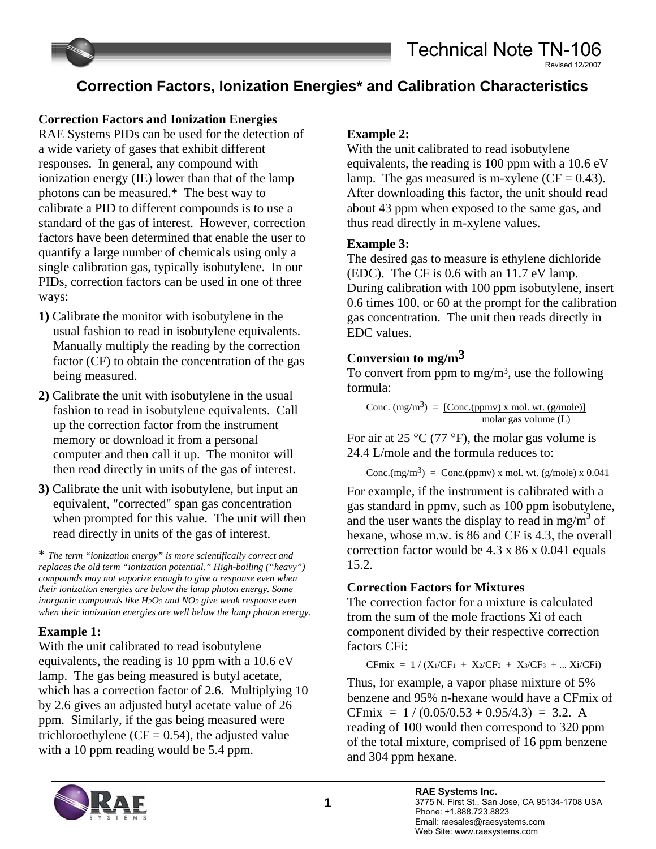## **Correction Factors, Ionization Energies\* and Calibration Characteristics**

#### **Correction Factors and Ionization Energies**

RAE Systems PIDs can be used for the detection of a wide variety of gases that exhibit different responses. In general, any compound with ionization energy (IE) lower than that of the lamp photons can be measured.\* The best way to calibrate a PID to different compounds is to use a standard of the gas of interest. However, correction factors have been determined that enable the user to quantify a large number of chemicals using only a single calibration gas, typically isobutylene. In our PIDs, correction factors can be used in one of three ways:

- **1)** Calibrate the monitor with isobutylene in the usual fashion to read in isobutylene equivalents. Manually multiply the reading by the correction factor (CF) to obtain the concentration of the gas being measured.
- **2)** Calibrate the unit with isobutylene in the usual fashion to read in isobutylene equivalents. Call up the correction factor from the instrument memory or download it from a personal computer and then call it up. The monitor will then read directly in units of the gas of interest.
- **3)** Calibrate the unit with isobutylene, but input an equivalent, "corrected" span gas concentration when prompted for this value. The unit will then read directly in units of the gas of interest.

\* *The term "ionization energy" is more scientifically correct and replaces the old term "ionization potential." High-boiling ("heavy") compounds may not vaporize enough to give a response even when their ionization energies are below the lamp photon energy. Some inorganic compounds like H2O2 and NO2 give weak response even when their ionization energies are well below the lamp photon energy.*

#### **Example 1:**

With the unit calibrated to read isobutylene equivalents, the reading is 10 ppm with a 10.6 eV lamp. The gas being measured is butyl acetate, which has a correction factor of 2.6. Multiplying 10 by 2.6 gives an adjusted butyl acetate value of 26 ppm. Similarly, if the gas being measured were trichloroethylene ( $CF = 0.54$ ), the adjusted value with a 10 ppm reading would be 5.4 ppm.

#### **Example 2:**

With the unit calibrated to read isobutylene equivalents, the reading is 100 ppm with a 10.6 eV lamp. The gas measured is m-xylene  $(CF = 0.43)$ . After downloading this factor, the unit should read about 43 ppm when exposed to the same gas, and thus read directly in m-xylene values.

#### **Example 3:**

The desired gas to measure is ethylene dichloride (EDC). The CF is 0.6 with an 11.7 eV lamp. During calibration with 100 ppm isobutylene, insert 0.6 times 100, or 60 at the prompt for the calibration gas concentration. The unit then reads directly in EDC values.

#### **Conversion to mg/m3**

To convert from ppm to mg/m<sup>3</sup>, use the following formula:

Conc. 
$$
(mg/m^3) = [Conc.(ppmv) \times mol. wt. (g/mole)]
$$
  
molar gas volume (L)

For air at 25 °C (77 °F), the molar gas volume is 24.4 L/mole and the formula reduces to:

Conc.(mg/m3) = Conc.(ppmv) x mol. wt. (g/mole) x 0.041

For example, if the instrument is calibrated with a gas standard in ppmv, such as 100 ppm isobutylene, and the user wants the display to read in mg/m<sup>3</sup> of hexane, whose m.w. is 86 and CF is 4.3, the overall correction factor would be 4.3 x 86 x 0.041 equals 15.2.

#### **Correction Factors for Mixtures**

The correction factor for a mixture is calculated from the sum of the mole fractions Xi of each component divided by their respective correction factors CFi:

 $CFmix = 1 / (X_1 / CF_1 + X_2 / CF_2 + X_3 / CF_3 + ... X_i / CF_i)$ 

Thus, for example, a vapor phase mixture of 5% benzene and 95% n-hexane would have a CFmix of CFmix =  $1/(0.05/0.53 + 0.95/4.3) = 3.2$ . A reading of 100 would then correspond to 320 ppm of the total mixture, comprised of 16 ppm benzene and 304 ppm hexane.

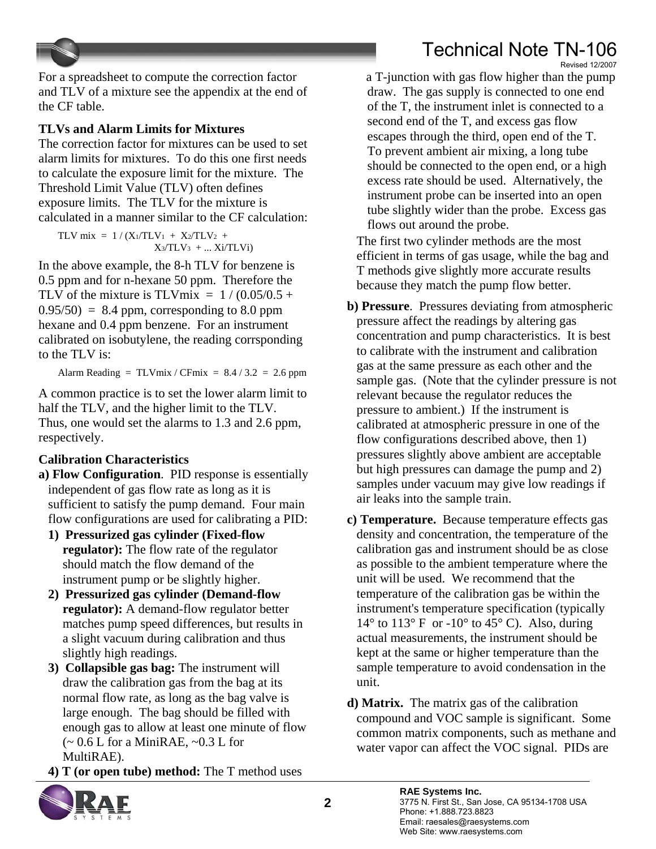#### Technical Note TN-106 Revised 12/2007



For a spreadsheet to compute the correction factor and TLV of a mixture see the appendix at the end of the CF table.

#### **TLVs and Alarm Limits for Mixtures**

The correction factor for mixtures can be used to set alarm limits for mixtures. To do this one first needs to calculate the exposure limit for the mixture. The Threshold Limit Value (TLV) often defines exposure limits. The TLV for the mixture is calculated in a manner similar to the CF calculation:

TLV mix =  $1/(X_1/TLV_1 + X_2/TLV_2 +$  $X_3/TLV_3 + ... X_i/TLV_i$ 

In the above example, the 8-h TLV for benzene is 0.5 ppm and for n-hexane 50 ppm. Therefore the TLV of the mixture is TLVmix =  $1/(0.05/0.5 +$  $0.95/50 = 8.4$  ppm, corresponding to 8.0 ppm hexane and 0.4 ppm benzene. For an instrument calibrated on isobutylene, the reading corrsponding to the TLV is:

Alarm Reading =  $TLV$ mix /  $CF$ mix =  $8.4 / 3.2 = 2.6$  ppm

A common practice is to set the lower alarm limit to half the TLV, and the higher limit to the TLV. Thus, one would set the alarms to 1.3 and 2.6 ppm, respectively.

### **Calibration Characteristics**

- **a) Flow Configuration**. PID response is essentially independent of gas flow rate as long as it is sufficient to satisfy the pump demand. Four main flow configurations are used for calibrating a PID:
	- **1) Pressurized gas cylinder (Fixed-flow regulator):** The flow rate of the regulator should match the flow demand of the instrument pump or be slightly higher.
	- **2) Pressurized gas cylinder (Demand-flow regulator):** A demand-flow regulator better matches pump speed differences, but results in a slight vacuum during calibration and thus slightly high readings.
	- **3) Collapsible gas bag:** The instrument will draw the calibration gas from the bag at its normal flow rate, as long as the bag valve is large enough. The bag should be filled with enough gas to allow at least one minute of flow  $\sim 0.6$  L for a MiniRAE,  $\sim 0.3$  L for MultiRAE).

**4) T (or open tube) method:** The T method uses



a T-junction with gas flow higher than the pump draw. The gas supply is connected to one end of the T, the instrument inlet is connected to a second end of the T, and excess gas flow escapes through the third, open end of the T. To prevent ambient air mixing, a long tube should be connected to the open end, or a high excess rate should be used. Alternatively, the instrument probe can be inserted into an open tube slightly wider than the probe. Excess gas flows out around the probe.

The first two cylinder methods are the most efficient in terms of gas usage, while the bag and T methods give slightly more accurate results because they match the pump flow better.

- **b) Pressure**. Pressures deviating from atmospheric pressure affect the readings by altering gas concentration and pump characteristics. It is best to calibrate with the instrument and calibration gas at the same pressure as each other and the sample gas. (Note that the cylinder pressure is not relevant because the regulator reduces the pressure to ambient.) If the instrument is calibrated at atmospheric pressure in one of the flow configurations described above, then 1) pressures slightly above ambient are acceptable but high pressures can damage the pump and 2) samples under vacuum may give low readings if air leaks into the sample train.
- **c) Temperature.** Because temperature effects gas density and concentration, the temperature of the calibration gas and instrument should be as close as possible to the ambient temperature where the unit will be used. We recommend that the temperature of the calibration gas be within the instrument's temperature specification (typically  $14^{\circ}$  to  $113^{\circ}$  F or  $-10^{\circ}$  to  $45^{\circ}$  C). Also, during actual measurements, the instrument should be kept at the same or higher temperature than the sample temperature to avoid condensation in the unit.

**d) Matrix.** The matrix gas of the calibration compound and VOC sample is significant. Some common matrix components, such as methane and water vapor can affect the VOC signal. PIDs are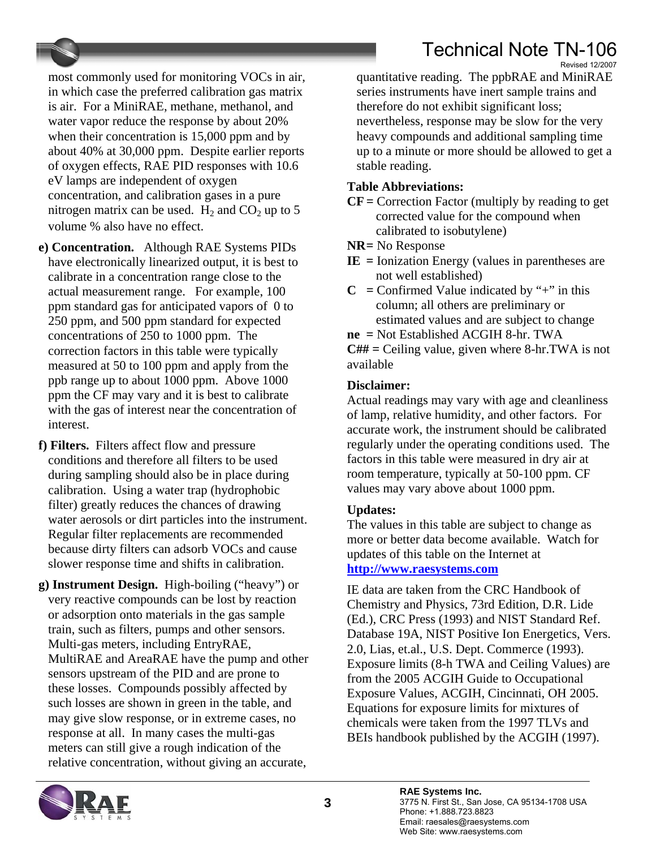most commonly used for monitoring VOCs in air, in which case the preferred calibration gas matrix is air. For a MiniRAE, methane, methanol, and water vapor reduce the response by about 20% when their concentration is 15,000 ppm and by about 40% at 30,000 ppm. Despite earlier reports of oxygen effects, RAE PID responses with 10.6 eV lamps are independent of oxygen concentration, and calibration gases in a pure nitrogen matrix can be used.  $H_2$  and  $CO_2$  up to 5 volume % also have no effect.

- **e) Concentration.** Although RAE Systems PIDs have electronically linearized output, it is best to calibrate in a concentration range close to the actual measurement range. For example, 100 ppm standard gas for anticipated vapors of 0 to 250 ppm, and 500 ppm standard for expected concentrations of 250 to 1000 ppm. The correction factors in this table were typically measured at 50 to 100 ppm and apply from the ppb range up to about 1000 ppm. Above 1000 ppm the CF may vary and it is best to calibrate with the gas of interest near the concentration of interest.
- **f) Filters.** Filters affect flow and pressure conditions and therefore all filters to be used during sampling should also be in place during calibration. Using a water trap (hydrophobic filter) greatly reduces the chances of drawing water aerosols or dirt particles into the instrument. Regular filter replacements are recommended because dirty filters can adsorb VOCs and cause slower response time and shifts in calibration.
- **g) Instrument Design.** High-boiling ("heavy") or very reactive compounds can be lost by reaction or adsorption onto materials in the gas sample train, such as filters, pumps and other sensors. Multi-gas meters, including EntryRAE, MultiRAE and AreaRAE have the pump and other sensors upstream of the PID and are prone to these losses. Compounds possibly affected by such losses are shown in green in the table, and may give slow response, or in extreme cases, no response at all. In many cases the multi-gas meters can still give a rough indication of the relative concentration, without giving an accurate,

Revised 12/2007 quantitative reading. The ppbRAE and MiniRAE series instruments have inert sample trains and therefore do not exhibit significant loss; nevertheless, response may be slow for the very heavy compounds and additional sampling time up to a minute or more should be allowed to get a stable reading.

#### **Table Abbreviations:**

- **CF =** Correction Factor (multiply by reading to get corrected value for the compound when calibrated to isobutylene)
- **NR =** No Response
- **IE =** Ionization Energy (values in parentheses are not well established)
- $C =$  Confirmed Value indicated by "+" in this column; all others are preliminary or estimated values and are subject to change
- **ne =** Not Established ACGIH 8-hr. TWA

**C## =** Ceiling value, given where 8-hr.TWA is not available

### **Disclaimer:**

Actual readings may vary with age and cleanliness of lamp, relative humidity, and other factors. For accurate work, the instrument should be calibrated regularly under the operating conditions used. The factors in this table were measured in dry air at room temperature, typically at 50-100 ppm. CF values may vary above about 1000 ppm.

## **Updates:**

The values in this table are subject to change as more or better data become available. Watch for updates of this table on the Internet at **[http://www.raesystems.com](http://www.raesystems.com/)**

IE data are taken from the CRC Handbook of Chemistry and Physics, 73rd Edition, D.R. Lide (Ed.), CRC Press (1993) and NIST Standard Ref. Database 19A, NIST Positive Ion Energetics, Vers. 2.0, Lias, et.al., U.S. Dept. Commerce (1993). Exposure limits (8-h TWA and Ceiling Values) are from the 2005 ACGIH Guide to Occupational Exposure Values, ACGIH, Cincinnati, OH 2005. Equations for exposure limits for mixtures of chemicals were taken from the 1997 TLVs and BEIs handbook published by the ACGIH (1997).

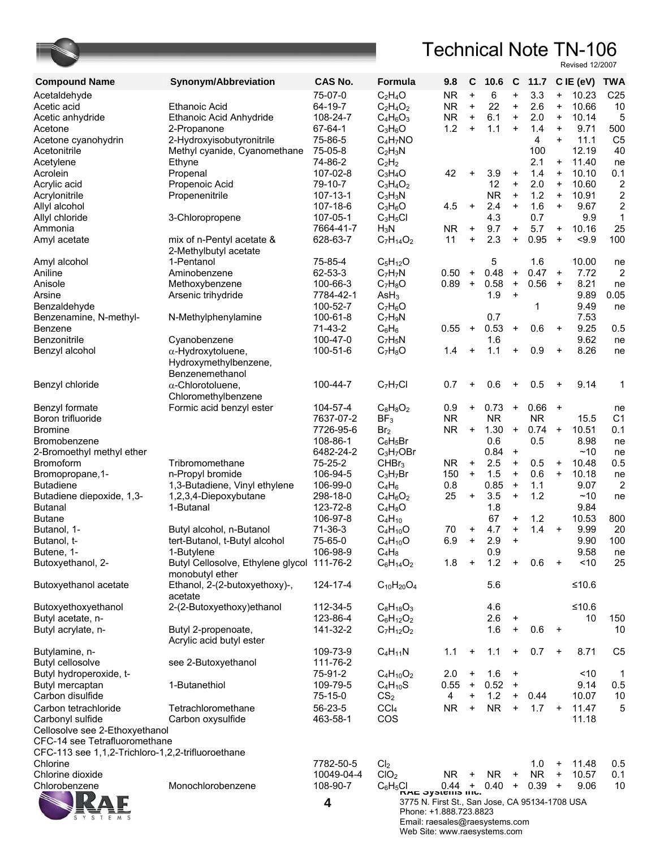

Email: raesales@raesystems.com Web Site: www.raesystems.com

| <b>Compound Name</b>                              | Synonym/Abbreviation                               | <b>CAS No.</b>       | Formula                                                               | 9.8                     | C                | 10.6        | C                                | 11.7       |                        | $CIE$ (eV)     | <b>TWA</b>              |
|---------------------------------------------------|----------------------------------------------------|----------------------|-----------------------------------------------------------------------|-------------------------|------------------|-------------|----------------------------------|------------|------------------------|----------------|-------------------------|
| Acetaldehyde                                      |                                                    | 75-07-0              | $C_2H_4O$                                                             | <b>NR</b>               | $\ddot{}$        | 6           | $\ddot{}$                        | 3.3        | $\ddot{}$              | 10.23          | C <sub>25</sub>         |
| Acetic acid                                       | <b>Ethanoic Acid</b>                               | 64-19-7              | $C_2H_4O_2$                                                           | NR.                     | $\ddot{}$        | 22          | $\ddot{}$                        | 2.6        | $\ddot{}$              | 10.66          | 10                      |
| Acetic anhydride                                  | Ethanoic Acid Anhydride                            | 108-24-7             | $C_4H_6O_3$                                                           | <b>NR</b>               | $\ddot{}$        | 6.1         | $\ddot{}$                        | 2.0        | $\ddot{}$              | 10.14          | 5                       |
| Acetone                                           | 2-Propanone                                        | 67-64-1              | $C_3H_6O$                                                             | 1.2                     | $\ddot{}$        | 1.1         | $\ddot{}$                        | 1.4        | $\ddot{}$              | 9.71           | 500                     |
| Acetone cyanohydrin                               | 2-Hydroxyisobutyronitrile                          | 75-86-5              | $C_4H_7NO$                                                            |                         |                  |             |                                  | 4          | $\ddot{}$              | 11.1           | C <sub>5</sub>          |
| Acetonitrile                                      | Methyl cyanide, Cyanomethane                       | 75-05-8              | $C_2H_3N$                                                             |                         |                  |             |                                  | 100        |                        | 12.19          | 40                      |
| Acetylene<br>Acrolein                             | Ethyne                                             | 74-86-2<br>107-02-8  | $C_2H_2$<br>$C_3H_4O$                                                 | 42                      | +                | 3.9         | $\ddot{}$                        | 2.1<br>1.4 | $\ddot{}$<br>$\ddot{}$ | 11.40<br>10.10 | ne<br>0.1               |
| Acrylic acid                                      | Propenal<br>Propenoic Acid                         | 79-10-7              | $C_3H_4O_2$                                                           |                         |                  | 12          | $\ddot{}$                        | 2.0        | $\ddot{}$              | 10.60          | $\overline{\mathbf{c}}$ |
| Acrylonitrile                                     | Propenenitrile                                     | 107-13-1             | $C_3H_3N$                                                             |                         |                  | <b>NR</b>   | $\ddot{}$                        | 1.2        | $\ddot{}$              | 10.91          | $\overline{\mathbf{c}}$ |
| Allyl alcohol                                     |                                                    | 107-18-6             | $C_3H_6O$                                                             | 4.5                     | $\ddot{}$        | 2.4         | $\ddot{}$                        | 1.6        | $+$                    | 9.67           | $\overline{2}$          |
| Allyl chloride                                    | 3-Chloropropene                                    | 107-05-1             | $C_3H_5Cl$                                                            |                         |                  | 4.3         |                                  | 0.7        |                        | 9.9            | $\mathbf 1$             |
| Ammonia                                           |                                                    | 7664-41-7            | $H_3N$                                                                | <b>NR</b>               | $\ddot{}$        | 9.7         | $\ddot{}$                        | 5.7        | $\ddot{}$              | 10.16          | 25                      |
| Amyl acetate                                      | mix of n-Pentyl acetate &<br>2-Methylbutyl acetate | 628-63-7             | $C_7H_{14}O_2$                                                        | 11                      | $\ddot{}$        | 2.3         | $\ddot{}$                        | 0.95       | $\ddot{}$              | < 9.9          | 100                     |
| Amyl alcohol                                      | 1-Pentanol                                         | 75-85-4              | $C_5H_{12}O$                                                          |                         |                  | 5           |                                  | 1.6        |                        | 10.00          | ne                      |
| Aniline                                           | Aminobenzene                                       | 62-53-3              | $C_7H_7N$                                                             | 0.50                    | $\ddot{}$        | 0.48        | $\ddot{}$                        | 0.47       | $\ddot{}$              | 7.72           | 2                       |
| Anisole                                           | Methoxybenzene                                     | 100-66-3             | $C_7H_8O$                                                             | 0.89                    | $\ddot{}$        | 0.58        | $\,$ +                           | 0.56       | $\ddot{}$              | 8.21           | ne                      |
| Arsine                                            | Arsenic trihydride                                 | 7784-42-1            | AsH <sub>3</sub>                                                      |                         |                  | 1.9         | $\ddot{}$                        |            |                        | 9.89           | 0.05                    |
| Benzaldehyde                                      |                                                    | 100-52-7             | $C_7H_6O$                                                             |                         |                  |             |                                  | 1          |                        | 9.49           | ne                      |
| Benzenamine, N-methyl-                            | N-Methylphenylamine                                | 100-61-8             | $C_7H_9N$                                                             |                         |                  | 0.7         |                                  |            |                        | 7.53           |                         |
| Benzene                                           |                                                    | 71-43-2              | $C_6H_6$                                                              | 0.55                    | $\ddot{}$        | 0.53        | $\ddot{}$                        | 0.6        | $\ddot{}$              | 9.25<br>9.62   | 0.5                     |
| Benzonitrile<br>Benzyl alcohol                    | Cyanobenzene                                       | 100-47-0<br>100-51-6 | $C_7H_5N$                                                             | 1.4                     | +                | 1.6<br>1.1  | $\ddot{}$                        | 0.9        | $\ddot{}$              | 8.26           | ne                      |
|                                                   | $\alpha$ -Hydroxytoluene,                          |                      | $C_7H_8O$                                                             |                         |                  |             |                                  |            |                        |                | ne                      |
|                                                   | Hydroxymethylbenzene,<br>Benzenemethanol           |                      |                                                                       |                         |                  |             |                                  |            |                        |                |                         |
| Benzyl chloride                                   | $\alpha$ -Chlorotoluene,                           | 100-44-7             | $C_7H_7Cl$                                                            | 0.7                     | +                | 0.6         | $\ddot{}$                        | 0.5        | $\ddot{}$              | 9.14           | $\mathbf 1$             |
|                                                   | Chloromethylbenzene                                |                      |                                                                       |                         |                  |             |                                  |            |                        |                |                         |
| Benzyl formate                                    | Formic acid benzyl ester                           | 104-57-4             | $C_8H_8O_2$                                                           | 0.9                     | $\ddot{}$        | 0.73        | $\ddot{}$                        | 0.66       | $\ddot{}$              |                | ne                      |
| Boron trifluoride                                 |                                                    | 7637-07-2            | BF <sub>3</sub>                                                       | <b>NR</b>               |                  | <b>NR</b>   |                                  | <b>NR</b>  |                        | 15.5           | C <sub>1</sub>          |
| <b>Bromine</b>                                    |                                                    | 7726-95-6            | Br <sub>2</sub>                                                       | <b>NR</b>               | $\ddot{}$        | 1.30        | $\ddot{}$                        | 0.74       | $\ddot{}$              | 10.51          | 0.1                     |
| Bromobenzene                                      |                                                    | 108-86-1             | $C_6H_5Br$                                                            |                         |                  | 0.6         |                                  | 0.5        |                        | 8.98           | ne                      |
| 2-Bromoethyl methyl ether                         |                                                    | 6482-24-2            | $C_3H_7OBr$                                                           |                         |                  | 0.84        | $\ddot{}$                        |            |                        | ~10            | ne                      |
| <b>Bromoform</b>                                  | Tribromomethane                                    | 75-25-2              | CHBr <sub>3</sub>                                                     | <b>NR</b>               | $\ddot{}$        | 2.5         | $\ddot{}$                        | 0.5        | $\ddot{}$              | 10.48          | 0.5                     |
| Bromopropane, 1-                                  | n-Propyl bromide                                   | 106-94-5             | $C_3H_7Br$                                                            | 150                     | $\ddot{}$        | 1.5         | $\ddot{}$                        | 0.6        | $\ddot{}$              | 10.18          | ne                      |
| <b>Butadiene</b>                                  | 1,3-Butadiene, Vinyl ethylene                      | 106-99-0             | $C_4H_6$                                                              | 0.8                     |                  | 0.85        | $\begin{array}{c} + \end{array}$ | 1.1        |                        | 9.07           | $\overline{2}$          |
| Butadiene diepoxide, 1,3-                         | 1,2,3,4-Diepoxybutane                              | 298-18-0             | $C_4H_6O_2$                                                           | 25                      | $\ddot{}$        | 3.5         | $\ddot{}$                        | 1.2        |                        | ~10            | ne                      |
| <b>Butanal</b>                                    | 1-Butanal                                          | 123-72-8             | $C_4H_8O$                                                             |                         |                  | 1.8         |                                  |            |                        | 9.84           |                         |
| <b>Butane</b><br>Butanol, 1-                      | Butyl alcohol, n-Butanol                           | 106-97-8<br>71-36-3  | $C_4H_{10}$<br>$C_4H_{10}O$                                           | 70                      | $\ddot{}$        | 67<br>4.7   | $\ddot{}$<br>$\ddot{}$           | 1.2<br>1.4 | $\ddot{}$              | 10.53<br>9.99  | 800<br>20               |
| Butanol, t-                                       | tert-Butanol, t-Butyl alcohol                      | 75-65-0              | $C_4H_{10}O$                                                          | 6.9                     | $\ddot{}$        | 2.9         | $\ddot{}$                        |            |                        | 9.90           | 100                     |
| Butene, 1-                                        | 1-Butylene                                         | 106-98-9             | $C_4H_8$                                                              |                         |                  | 0.9         |                                  |            |                        | 9.58           | ne                      |
| Butoxyethanol, 2-                                 | Butyl Cellosolve, Ethylene glycol 111-76-2         |                      | $C_6H_{14}O_2$                                                        | 1.8                     | $\ddot{}$        | 1.2         | $\ddot{}$                        | 0.6        | $\ddot{}$              | ~10            | 25                      |
|                                                   | monobutyl ether                                    |                      |                                                                       |                         |                  |             |                                  |            |                        |                |                         |
| Butoxyethanol acetate                             | Ethanol, 2-(2-butoxyethoxy)-,<br>acetate           | 124-17-4             | $C_{10}H_{20}O_4$                                                     |                         |                  | 5.6         |                                  |            |                        | $≤10.6$        |                         |
| Butoxyethoxyethanol                               | 2-(2-Butoxyethoxy)ethanol                          | 112-34-5             | $C_8H_{18}O_3$                                                        |                         |                  | 4.6         |                                  |            |                        | $≤10.6$        |                         |
| Butyl acetate, n-                                 |                                                    | 123-86-4             | $C_6H_{12}O_2$                                                        |                         |                  | 2.6         | $\ddot{}$                        |            |                        | 10             | 150                     |
| Butyl acrylate, n-                                | Butyl 2-propenoate,<br>Acrylic acid butyl ester    | 141-32-2             | $C_7H_{12}O_2$                                                        |                         |                  | 1.6         | $\ddot{}$                        | 0.6        | $\ddot{}$              |                | 10                      |
| Butylamine, n-                                    |                                                    | 109-73-9             | $C_4H_{11}N$                                                          | 1.1                     | $\ddot{}$        | 1.1         | $\ddot{}$                        | 0.7        | $\ddot{}$              | 8.71           | C <sub>5</sub>          |
| Butyl cellosolve                                  | see 2-Butoxyethanol                                | 111-76-2             |                                                                       |                         |                  |             |                                  |            |                        |                |                         |
| Butyl hydroperoxide, t-                           |                                                    | 75-91-2              | $C_4H_{10}O_2$                                                        | 2.0                     | +                | 1.6         | $\ddot{}$                        |            |                        | ~10            | 1                       |
| Butyl mercaptan<br>Carbon disulfide               | 1-Butanethiol                                      | 109-79-5             | $C_4H_{10}S$                                                          | 0.55<br>4               | $+$<br>$\ddot{}$ | 0.52<br>1.2 | $\ddot{}$<br>$\ddot{}$           | 0.44       |                        | 9.14<br>10.07  | 0.5                     |
|                                                   |                                                    | 75-15-0              | CS <sub>2</sub>                                                       |                         |                  |             | $\ddot{}$                        |            |                        |                | 10                      |
| Carbon tetrachloride<br>Carbonyl sulfide          | Tetrachloromethane<br>Carbon oxysulfide            | 56-23-5<br>463-58-1  | CCI <sub>4</sub><br>COS                                               | <b>NR</b>               | $\ddot{}$        | <b>NR</b>   |                                  | 1.7        | $+$                    | 11.47<br>11.18 | 5                       |
| Cellosolve see 2-Ethoxyethanol                    |                                                    |                      |                                                                       |                         |                  |             |                                  |            |                        |                |                         |
| CFC-14 see Tetrafluoromethane                     |                                                    |                      |                                                                       |                         |                  |             |                                  |            |                        |                |                         |
| CFC-113 see 1,1,2-Trichloro-1,2,2-trifluoroethane |                                                    |                      |                                                                       |                         |                  |             |                                  |            |                        |                |                         |
| Chlorine                                          |                                                    | 7782-50-5            | Cl <sub>2</sub>                                                       |                         |                  |             |                                  | 1.0        | $\ddot{}$              | 11.48          | 0.5                     |
| Chlorine dioxide                                  |                                                    | 10049-04-4           | ClO <sub>2</sub>                                                      | NR                      | $\ddot{}$        | NR          | $\ddot{}$                        | <b>NR</b>  | $\ddot{}$              | 10.57          | 0.1                     |
| Chlorobenzene                                     | Monochlorobenzene                                  | 108-90-7             | $C_6H_5Cl$                                                            | $0.44 +$                |                  | 0.40        | $+$                              | 0.39       | $\ddot{}$              | 9.06           | 10                      |
|                                                   |                                                    | 4                    | האב סץאופוווא וווט.<br>3775 N. First St., San Jose, CA 95134-1708 USA |                         |                  |             |                                  |            |                        |                |                         |
|                                                   |                                                    |                      | Phone: +1.888.723.8823                                                | ili roqooloo@roqoyotomo |                  |             |                                  |            |                        |                |                         |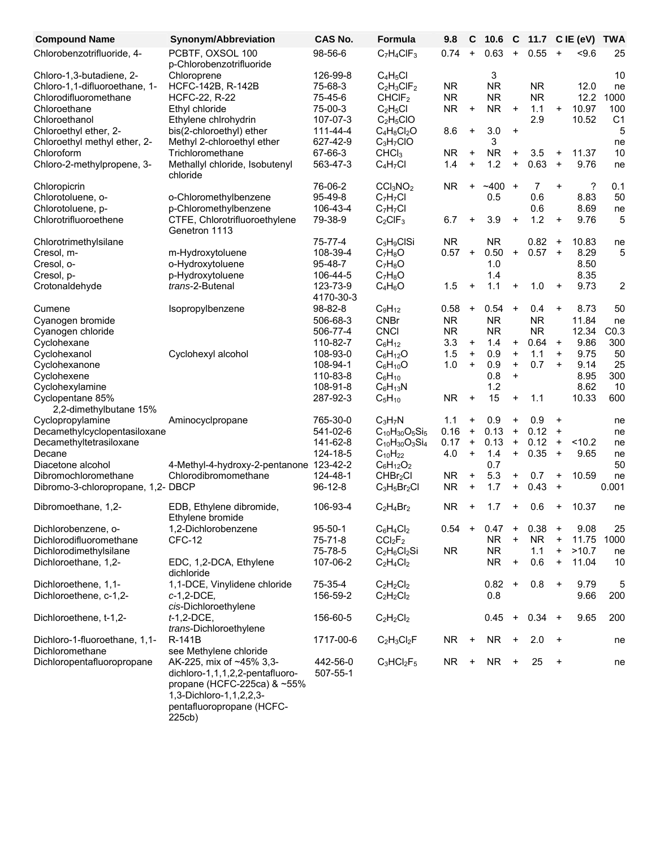| <b>Compound Name</b>               | Synonym/Abbreviation                           | CAS No.               | Formula                          | 9.8       | С                                | 10.6         | C                                | 11.7      |           | $CIE$ (eV) | <b>TWA</b>     |
|------------------------------------|------------------------------------------------|-----------------------|----------------------------------|-----------|----------------------------------|--------------|----------------------------------|-----------|-----------|------------|----------------|
| Chlorobenzotrifluoride, 4-         | PCBTF, OXSOL 100<br>p-Chlorobenzotrifluoride   | 98-56-6               | $C_7H_4CIF_3$                    | 0.74      | $\ddot{}$                        | 0.63         | $\ddot{}$                        | 0.55      | $\ddot{}$ | $5 - 9.6$  | 25             |
| Chloro-1,3-butadiene, 2-           | Chloroprene                                    | 126-99-8              | $C_4H_5Cl$                       |           |                                  | 3            |                                  |           |           |            | 10             |
| Chloro-1,1-difluoroethane, 1-      | HCFC-142B, R-142B                              | 75-68-3               | $C_2H_3CIF_2$                    | <b>NR</b> |                                  | <b>NR</b>    |                                  | <b>NR</b> |           | 12.0       | ne             |
| Chlorodifluoromethane              | <b>HCFC-22, R-22</b>                           | 75-45-6               | CHCIF <sub>2</sub>               | <b>NR</b> |                                  | <b>NR</b>    |                                  | <b>NR</b> |           | 12.2       | 1000           |
| Chloroethane                       | Ethyl chloride                                 | 75-00-3               | $C_2H_5Cl$                       | <b>NR</b> | +                                | <b>NR</b>    | $\ddot{}$                        | 1.1       | $\ddot{}$ | 10.97      | 100            |
| Chloroethanol                      | Ethylene chlrohydrin                           | 107-07-3              | $C_2H_5ClO$                      |           |                                  |              |                                  | 2.9       |           | 10.52      | C <sub>1</sub> |
| Chloroethyl ether, 2-              | bis(2-chloroethyl) ether                       | 111-44-4              | $C_4H_8Cl_2O$                    | 8.6       | $\ddot{}$                        | 3.0          | $\ddot{}$                        |           |           |            | 5              |
| Chloroethyl methyl ether, 2-       | Methyl 2-chloroethyl ether                     | 627-42-9              | $C_3H_7ClO$                      |           |                                  | 3            |                                  |           |           |            | ne             |
| Chloroform                         | Trichloromethane                               | 67-66-3               | CHCl <sub>3</sub>                | <b>NR</b> | +                                | <b>NR</b>    | $\ddot{}$                        | 3.5       | $\ddot{}$ | 11.37      | 10             |
| Chloro-2-methylpropene, 3-         | Methallyl chloride, Isobutenyl<br>chloride     | 563-47-3              | $C_4H_7Cl$                       | 1.4       | +                                | 1.2          | $\ddot{}$                        | 0.63      | $\ddot{}$ | 9.76       | ne             |
| Chloropicrin                       |                                                | 76-06-2               | CCI <sub>3</sub> NO <sub>2</sub> | <b>NR</b> | $\ddot{}$                        | $~1 - 400 +$ |                                  | 7         | $\ddot{}$ | ?          | 0.1            |
| Chlorotoluene, o-                  | o-Chloromethylbenzene                          | 95-49-8               | $C_7H_7Cl$                       |           |                                  | 0.5          |                                  | 0.6       |           | 8.83       | 50             |
| Chlorotoluene, p-                  | p-Chloromethylbenzene                          | 106-43-4              | $C_7H_7Cl$                       |           |                                  |              |                                  | 0.6       |           | 8.69       | ne             |
| Chlorotrifluoroethene              | CTFE, Chlorotrifluoroethylene<br>Genetron 1113 | 79-38-9               | $C_2CIF_3$                       | 6.7       | +                                | 3.9          | $\ddot{}$                        | 1.2       | $\ddot{}$ | 9.76       | 5              |
| Chlorotrimethylsilane              |                                                | 75-77-4               | $C_3H_9CISi$                     | <b>NR</b> |                                  | <b>NR</b>    |                                  | 0.82      | $\ddot{}$ | 10.83      | ne             |
| Cresol, m-                         | m-Hydroxytoluene                               | 108-39-4              | $C_7H_8O$                        | 0.57      | $\ddot{}$                        | 0.50         | $\ddot{}$                        | $0.57 +$  |           | 8.29       | 5              |
| Cresol, o-                         | o-Hydroxytoluene                               | 95-48-7               | $C_7H_8O$                        |           |                                  | 1.0          |                                  |           |           | 8.50       |                |
| Cresol, p-                         | p-Hydroxytoluene                               | 106-44-5              | $C_7H_8O$                        |           |                                  | 1.4          |                                  |           |           | 8.35       |                |
| Crotonaldehyde                     | trans-2-Butenal                                | 123-73-9<br>4170-30-3 | $C_4H_6O$                        | 1.5       | +                                | 1.1          | $\ddot{}$                        | 1.0       | $\ddot{}$ | 9.73       | $\overline{c}$ |
| Cumene                             | Isopropylbenzene                               | 98-82-8               | $C_9H_{12}$                      | 0.58      | $\ddot{}$                        | 0.54         | $+$                              | 0.4       | $\ddot{}$ | 8.73       | 50             |
| Cyanogen bromide                   |                                                | 506-68-3              | <b>CNBr</b>                      | <b>NR</b> |                                  | <b>NR</b>    |                                  | <b>NR</b> |           | 11.84      | ne             |
| Cyanogen chloride                  |                                                | 506-77-4              | <b>CNCI</b>                      | <b>NR</b> |                                  | <b>NR</b>    |                                  | <b>NR</b> |           | 12.34      | CO.3           |
| Cyclohexane                        |                                                | 110-82-7              | $C_6H_{12}$                      | 3.3       | $\ddot{}$                        | 1.4          | $\ddot{}$                        | 0.64      | $\ddot{}$ | 9.86       | 300            |
| Cyclohexanol                       | Cyclohexyl alcohol                             | 108-93-0              | $C_6H_{12}O$                     | 1.5       | $\begin{array}{c} + \end{array}$ | 0.9          | $\ddot{}$                        | 1.1       | $\ddot{}$ | 9.75       | 50             |
| Cyclohexanone                      |                                                | 108-94-1              | $C_6H_{10}O$                     | 1.0       | $\ddot{}$                        | 0.9          | $\ddot{}$                        | 0.7       | $\ddot{}$ | 9.14       | 25             |
| Cyclohexene                        |                                                | 110-83-8              | $C_6H_{10}$                      |           |                                  | 0.8          | $\ddot{}$                        |           |           | 8.95       | 300            |
| Cyclohexylamine                    |                                                | 108-91-8              | $C_6H_{13}N$                     |           |                                  | 1.2          |                                  |           |           | 8.62       | 10             |
| Cyclopentane 85%                   |                                                | 287-92-3              | $C_5H_{10}$                      | <b>NR</b> | $\ddot{}$                        | 15           | $\ddot{}$                        | 1.1       |           | 10.33      | 600            |
| 2,2-dimethylbutane 15%             |                                                |                       |                                  |           |                                  |              |                                  |           |           |            |                |
| Cyclopropylamine                   | Aminocyclpropane                               | 765-30-0              | $C_3H_7N$                        | 1.1       | +                                | 0.9          | $\ddot{}$                        | 0.9       | $\ddot{}$ |            | ne             |
| Decamethylcyclopentasiloxane       |                                                | 541-02-6              | $C_{10}H_{30}O_5Si_5$            | 0.16      | $\ddot{}$                        | 0.13         | $\ddot{}$                        | 0.12      | $\ddot{}$ |            | ne             |
| Decamethyltetrasiloxane            |                                                | 141-62-8              | $C_{10}H_{30}O_3Si_4$            | 0.17      | $\ddot{}$                        | 0.13         | $\ddot{}$                        | 0.12      | $\ddot{}$ | < 10.2     | ne             |
| Decane                             |                                                | 124-18-5              | $C_{10}H_{22}$                   | 4.0       | $\ddot{}$                        | 1.4          | $\ddot{}$                        | 0.35      | $\ddot{}$ | 9.65       | ne             |
| Diacetone alcohol                  | 4-Methyl-4-hydroxy-2-pentanone 123-42-2        |                       | $C_6H_{12}O_2$                   |           |                                  | 0.7          |                                  |           |           |            | 50             |
| Dibromochloromethane               | Chlorodibromomethane                           | 124-48-1              | CHBr <sub>2</sub> Cl             | <b>NR</b> | $\ddot{}$                        | 5.3          | $\ddot{}$                        | 0.7       | $\ddot{}$ | 10.59      | ne             |
| Dibromo-3-chloropropane, 1,2- DBCP |                                                | $96-12-8$             | $C_3H_5Br_2Cl$                   | <b>NR</b> | +                                | 1.7          | +                                | 0.43      | $\ddot{}$ |            | 0.001          |
| Dibromoethane, 1,2-                | EDB, Ethylene dibromide,<br>Ethylene bromide   | 106-93-4              | $C_2H_4Br_2$                     | <b>NR</b> | +                                | 1.7          | $\ddot{}$                        | 0.6       | $\ddot{}$ | 10.37      | ne             |
| Dichlorobenzene, o-                | 1,2-Dichlorobenzene                            | $95 - 50 - 1$         | $C_6H_4Cl_2$                     | 0.54      | $\ddot{}$                        | 0.47         | $+$                              | 0.38      | $\ddot{}$ | 9.08       | 25             |
| Dichlorodifluoromethane            | CFC-12                                         | 75-71-8               | CCI <sub>2</sub> F <sub>2</sub>  |           |                                  | <b>NR</b>    | $\begin{array}{c} + \end{array}$ | <b>NR</b> | $\ddot{}$ | 11.75      | 1000           |
| Dichlorodimethylsilane             |                                                | 75-78-5               | $C_2H_6Cl_2Si$                   | <b>NR</b> |                                  | NR.          |                                  | 1.1       | $\ddot{}$ | >10.7      | ne             |
| Dichloroethane, 1,2-               | EDC, 1,2-DCA, Ethylene<br>dichloride           | 107-06-2              | $C_2H_4Cl_2$                     |           |                                  | <b>NR</b>    | $\ddot{}$                        | 0.6       | $\ddot{}$ | 11.04      | 10             |
| Dichloroethene, 1,1-               | 1,1-DCE, Vinylidene chloride                   | 75-35-4               | $C_2H_2Cl_2$                     |           |                                  | $0.82 +$     |                                  | 0.8       | $\ddot{}$ | 9.79       | 5              |
| Dichloroethene, c-1,2-             | $c-1,2-DCE,$                                   | 156-59-2              | $C_2H_2Cl_2$                     |           |                                  | 0.8          |                                  |           |           | 9.66       | 200            |
|                                    | cis-Dichloroethylene                           |                       |                                  |           |                                  |              |                                  |           |           |            |                |
| Dichloroethene, t-1,2-             | $t-1,2-DCE$ ,<br>trans-Dichloroethylene        | 156-60-5              | $C_2H_2Cl_2$                     |           |                                  | 0.45         | $\ddot{}$                        | $0.34 +$  |           | 9.65       | 200            |
| Dichloro-1-fluoroethane, 1,1-      | R-141B                                         | 1717-00-6             | $C_2H_3Cl_2F$                    | <b>NR</b> | $\ddot{}$                        | <b>NR</b>    | $\ddot{}$                        | 2.0       | $+$       |            | ne             |
| Dichloromethane                    | see Methylene chloride                         |                       |                                  |           |                                  |              |                                  |           |           |            |                |
| Dichloropentafluoropropane         | AK-225, mix of ~45% 3,3-                       | 442-56-0              | $C_3HCl_2F_5$                    | NR.       | +                                | NR.          | $\ddot{}$                        | 25        | $+$       |            | ne             |
|                                    | dichloro-1,1,1,2,2-pentafluoro-                | 507-55-1              |                                  |           |                                  |              |                                  |           |           |            |                |
|                                    | propane (HCFC-225ca) $& \sim 55\%$             |                       |                                  |           |                                  |              |                                  |           |           |            |                |
|                                    | 1,3-Dichloro-1,1,2,2,3-                        |                       |                                  |           |                                  |              |                                  |           |           |            |                |
|                                    | pentafluoropropane (HCFC-                      |                       |                                  |           |                                  |              |                                  |           |           |            |                |

225cb)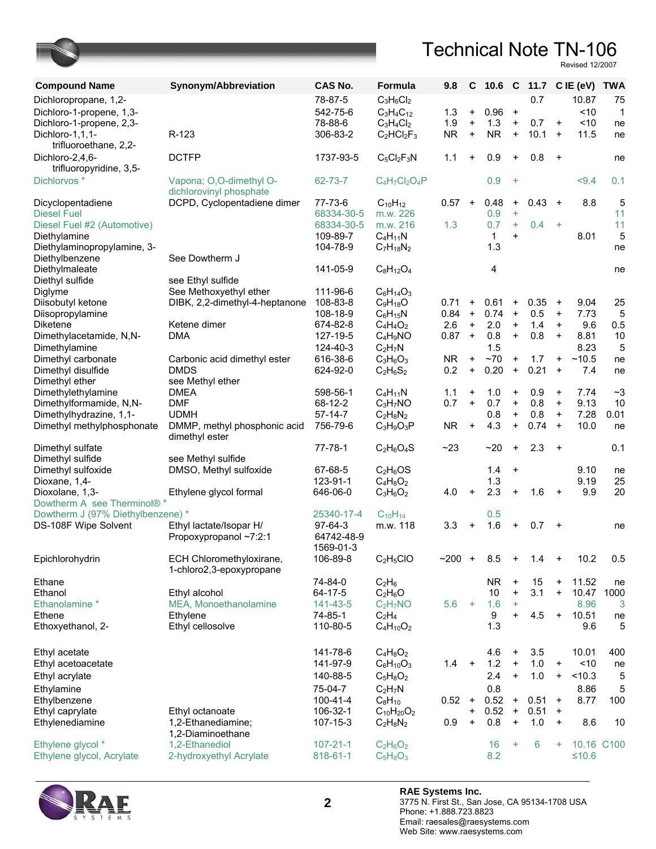| <b>Compound Name</b>                       | Synonym/Abbreviation                                 | <b>CAS No.</b>        | Formula           | 9.8       | C         | $10.6\quad$ C |           |          |           | 11.7 C IE (eV) | <b>TWA</b>        |
|--------------------------------------------|------------------------------------------------------|-----------------------|-------------------|-----------|-----------|---------------|-----------|----------|-----------|----------------|-------------------|
| Dichloropropane, 1,2-                      |                                                      | 78-87-5               | $C_3H_6Cl_2$      |           |           |               |           | 0.7      |           | 10.87          | 75                |
| Dichloro-1-propene, 1,3-                   |                                                      | 542-75-6              | $C_3H_4C_{12}$    | 1.3       | $\ddot{}$ | 0.96          | $\ddot{}$ |          |           | < 10           | $\mathbf{1}$      |
| Dichloro-1-propene, 2,3-                   |                                                      | 78-88-6               | $C_3H_4Cl_2$      | 1.9       | $\bf{+}$  | 1.3           | $\ddot{}$ | 0.7      | $\ddot{}$ | ~10            | ne                |
| Dichloro-1,1,1-<br>trifluoroethane, 2,2-   | R-123                                                | 306-83-2              | $C_2HCl_2F_3$     | <b>NR</b> | $\ddot{}$ | <b>NR</b>     | $\ddot{}$ | 10.1     | $\ddot{}$ | 11.5           | ne                |
| Dichloro-2,4,6-<br>trifluoropyridine, 3,5- | <b>DCTFP</b>                                         | 1737-93-5             | $C_5Cl_2F_3N$     | 1.1       | $\ddot{}$ | 0.9           | $\ddot{}$ | 0.8      | $+$       |                | ne                |
| Dichlorvos *                               | Vapona; O,O-dimethyl O-<br>dichlorovinyl phosphate   | 62-73-7               | $C_4H_7Cl_2O_4P$  |           |           | 0.9           | $+$       |          |           | < 9.4          | 0.1               |
| Dicyclopentadiene                          | DCPD, Cyclopentadiene dimer                          | 77-73-6               | $C_{10}H_{12}$    | 0.57      | $\ddot{}$ | 0.48          | $\ddot{}$ | $0.43 +$ |           | 8.8            | 5                 |
| <b>Diesel Fuel</b>                         |                                                      | 68334-30-5            | m.w. 226          |           |           | 0.9           | $\ddot{}$ |          |           |                | 11                |
| Diesel Fuel #2 (Automotive)                |                                                      | 68334-30-5            | m.w. 216          | 1.3       |           | 0.7           | $+$       | 0.4      | $+$       |                | 11                |
| Diethylamine                               |                                                      | 109-89-7              | $C_4H_{11}N$      |           |           | $\mathbf 1$   | $\ddot{}$ |          |           | 8.01           | 5                 |
| Diethylaminopropylamine, 3-                |                                                      | 104-78-9              | $C_7H_{18}N_2$    |           |           | 1.3           |           |          |           |                | ne                |
| Diethylbenzene                             | See Dowtherm J                                       |                       |                   |           |           |               |           |          |           |                |                   |
| Diethylmaleate                             |                                                      | 141-05-9              | $C_8H_{12}O_4$    |           |           | 4             |           |          |           |                | ne                |
| Diethyl sulfide                            | see Ethyl sulfide<br>See Methoxyethyl ether          | 111-96-6              | $C_6H_{14}O_3$    |           |           |               |           |          |           |                |                   |
| Diglyme<br>Diisobutyl ketone               | DIBK, 2,2-dimethyl-4-heptanone                       | 108-83-8              | $C_9H_{18}O$      | 0.71      | $\ddot{}$ | 0.61          | $\ddot{}$ | 0.35     | $\ddot{}$ | 9.04           | 25                |
| Diisopropylamine                           |                                                      | 108-18-9              | $C_6H_{15}N$      | 0.84      | $\ddot{}$ | 0.74          | $\ddot{}$ | 0.5      | $\ddot{}$ | 7.73           | 5                 |
| <b>Diketene</b>                            | Ketene dimer                                         | 674-82-8              | $C_4H_4O_2$       | 2.6       | $+$       | 2.0           | $\ddot{}$ | 1.4      | $\ddot{}$ | 9.6            | 0.5               |
| Dimethylacetamide, N,N-                    | <b>DMA</b>                                           | 127-19-5              | $C_4H_9NO$        | 0.87      | $\ddot{}$ | 0.8           | $\ddot{}$ | 0.8      | $\ddot{}$ | 8.81           | 10                |
| Dimethylamine                              |                                                      | 124-40-3              | $C_2H_7N$         |           |           | 1.5           |           |          |           | 8.23           | 5                 |
| Dimethyl carbonate                         | Carbonic acid dimethyl ester                         | 616-38-6              | $C_3H_6O_3$       | <b>NR</b> | $\ddot{}$ | ~1            | $\ddot{}$ | 1.7      | $\ddot{}$ | ~10.5          | ne                |
| Dimethyl disulfide                         | <b>DMDS</b>                                          | 624-92-0              | $C_2H_6S_2$       | 0.2       | $\ddot{}$ | 0.20          | $\ddot{}$ | 0.21     | $\ddot{}$ | 7.4            | ne                |
| Dimethyl ether                             | see Methyl ether                                     |                       |                   |           |           |               |           |          |           |                |                   |
| Dimethylethylamine                         | <b>DMEA</b>                                          | 598-56-1              | $C_4H_{11}N$      | 1.1       | $\ddot{}$ | 1.0           | $\ddot{}$ | 0.9      | $\ddot{}$ | 7.74           | $\mathord{\sim}3$ |
| Dimethylformamide, N,N-                    | <b>DMF</b>                                           | 68-12-2               | $C_3H_7NO$        | 0.7       | $+$       | 0.7           | $\ddot{}$ | 0.8      | $\ddot{}$ | 9.13           | 10                |
| Dimethylhydrazine, 1,1-                    | <b>UDMH</b>                                          | 57-14-7               | $C_2H_8N_2$       |           |           | 0.8           | $\ddot{}$ | 0.8      | $\ddot{}$ | 7.28           | 0.01              |
| Dimethyl methylphosphonate                 | DMMP, methyl phosphonic acid<br>dimethyl ester       | 756-79-6              | $C_3H_9O_3P$      | <b>NR</b> | $\ddot{}$ | 4.3           | $\ddot{}$ | 0.74     | $\ddot{}$ | 10.0           | ne                |
| Dimethyl sulfate                           |                                                      | 77-78-1               | $C_2H_6O_4S$      | ~23       |           | $-20$         | $\ddot{}$ | 2.3      | $+$       |                | 0.1               |
| Dimethyl sulfide                           | see Methyl sulfide                                   |                       |                   |           |           |               |           |          |           |                |                   |
| Dimethyl sulfoxide                         | DMSO, Methyl sulfoxide                               | 67-68-5               | $C_2H_6OS$        |           |           | 1.4           | $\ddot{}$ |          |           | 9.10           | ne                |
| Dioxane, 1,4-                              |                                                      | 123-91-1              | $C_4H_8O_2$       |           |           | 1.3           |           |          |           | 9.19           | 25                |
| Dioxolane, 1,3-                            | Ethylene glycol formal                               | 646-06-0              | $C_3H_6O_2$       | 4.0       | $\ddot{}$ | 2.3           | $+$       | 1.6      | $+$       | 9.9            | 20                |
| Dowtherm A see Therminol®*                 |                                                      |                       |                   |           |           |               |           |          |           |                |                   |
| Dowtherm J (97% Diethylbenzene) *          |                                                      | 25340-17-4            | $C_{10}H_{14}$    |           |           | 0.5           |           |          |           |                |                   |
| DS-108F Wipe Solvent                       | Ethyl lactate/Isopar H/<br>Propoxypropanol ~7:2:1    | 97-64-3<br>64742-48-9 | m.w. 118          | 3.3       | +         | 1.6           | $\ddot{}$ | 0.7      | $+$       |                | ne                |
|                                            |                                                      | 1569-01-3             |                   |           |           |               |           |          |           |                |                   |
| Epichlorohydrin                            | ECH Chloromethyloxirane,<br>1-chloro2,3-epoxypropane | 106-89-8              | $C_2H_5ClO$       | ~1200     | $+$       | 8.5           |           | 1.4      |           | 10.2           | 0.5               |
| Ethane                                     |                                                      | 74-84-0               | $C_2H_6$          |           |           | <b>NR</b>     | $\ddot{}$ | 15       | $\ddot{}$ | 11.52          | ne                |
| Ethanol                                    | Ethyl alcohol                                        | 64-17-5               | $C_2H_6O$         |           |           | 10            | $\ddot{}$ | 3.1      | $\ddot{}$ | 10.47          | 1000              |
| Ethanolamine *                             | MEA, Monoethanolamine                                | 141-43-5              | $C_2H_7NO$        | 5.6       | $+$       | 1.6           | $\ddot{}$ |          |           | 8.96           | 3                 |
| Ethene                                     | Ethylene                                             | 74-85-1               | $C_2H_4$          |           |           | 9             | $+$       | 4.5      | $\ddot{}$ | 10.51          | ne                |
| Ethoxyethanol, 2-                          | Ethyl cellosolve                                     | 110-80-5              | $C_4H_{10}O_2$    |           |           | 1.3           |           |          |           | 9.6            | 5                 |
| Ethyl acetate                              |                                                      | 141-78-6              | $C_4H_8O_2$       |           |           | 4.6           | $\ddot{}$ | 3.5      |           | 10.01          | 400               |
| Ethyl acetoacetate                         |                                                      | 141-97-9              | $C_6H_{10}O_3$    | 1.4       | $\ddot{}$ | 1.2           | $\ddot{}$ | 1.0      | $\ddot{}$ | ~10            | ne                |
| Ethyl acrylate                             |                                                      | 140-88-5              | $C_5H_8O_2$       |           |           | 2.4           | $\ddot{}$ | 1.0      | $\ddot{}$ | < 10.3         | 5                 |
| Ethylamine                                 |                                                      | 75-04-7               | $C_2H_7N$         |           |           | 0.8           |           |          |           | 8.86           | 5                 |
| Ethylbenzene                               |                                                      | 100-41-4              | $C_8H_{10}$       | 0.52      | $\ddot{}$ | 0.52          | $+$       | 0.51     | $\ddot{}$ | 8.77           | 100               |
| Ethyl caprylate                            | Ethyl octanoate                                      | 106-32-1              | $C_{10}H_{20}O_2$ |           | $\ddot{}$ | 0.52          | $\ddot{}$ | 0.51     | $\ddot{}$ |                |                   |
| Ethylenediamine                            | 1,2-Ethanediamine;                                   | 107-15-3              | $C_2H_8N_2$       | 0.9       | +         | 0.8           | $\ddot{}$ | 1.0      | $\ddot{}$ | 8.6            | 10                |
|                                            | 1,2-Diaminoethane                                    |                       |                   |           |           |               |           |          |           |                |                   |
| Ethylene glycol *                          | 1,2-Ethanediol                                       | $107 - 21 - 1$        | $C_2H_6O_2$       |           |           | 16            | $\ddot{}$ | 6        | ÷         | 10.16 C100     |                   |
| Ethylene glycol, Acrylate                  | 2-hydroxyethyl Acrylate                              | 818-61-1              | $C_5H_8O_3$       |           |           | 8.2           |           |          |           | $≤10.6$        |                   |

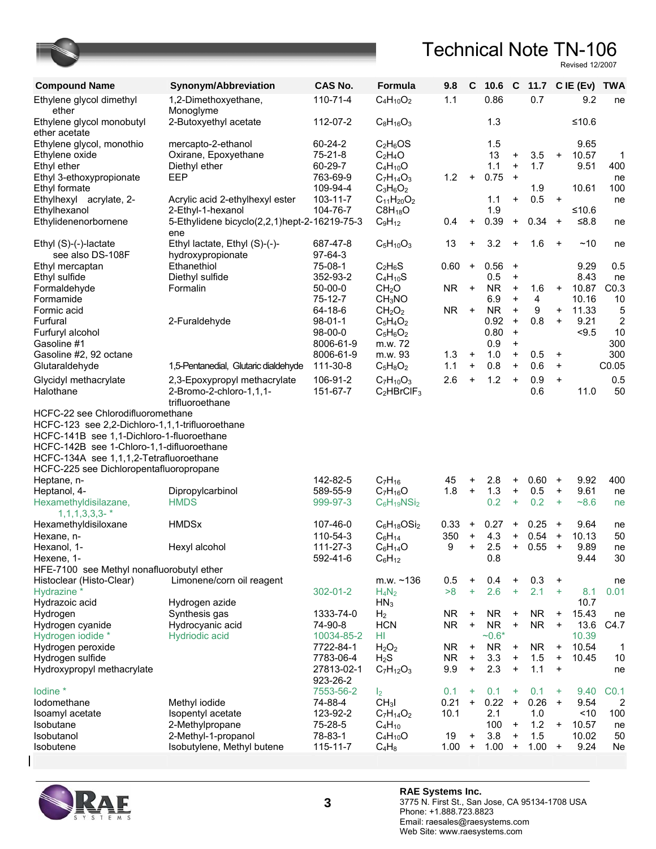

| <b>Compound Name</b>                            | Synonym/Abbreviation                                                       | <b>CAS No.</b>       | <b>Formula</b>                      | 9.8       | C         | $10.6\quad C$ |                                  |            |           | 11.7 C IE (Ev) TWA |                |
|-------------------------------------------------|----------------------------------------------------------------------------|----------------------|-------------------------------------|-----------|-----------|---------------|----------------------------------|------------|-----------|--------------------|----------------|
| Ethylene glycol dimethyl<br>ether               | 1,2-Dimethoxyethane,<br>Monoglyme                                          | 110-71-4             | $C_4H_{10}O_2$                      | 1.1       |           | 0.86          |                                  | 0.7        |           | 9.2                | ne             |
| Ethylene glycol monobutyl<br>ether acetate      | 2-Butoxyethyl acetate                                                      | 112-07-2             | $C_8H_{16}O_3$                      |           |           | 1.3           |                                  |            |           | ≤10.6              |                |
| Ethylene glycol, monothio                       | mercapto-2-ethanol                                                         | 60-24-2              | $C_2H_6OS$                          |           |           | 1.5           |                                  |            |           | 9.65               |                |
| Ethylene oxide                                  | Oxirane, Epoxyethane                                                       | $75 - 21 - 8$        | $C_2H_4O$                           |           |           | 13            | $\ddot{}$                        | 3.5        | $\ddot{}$ | 10.57              | $\mathbf 1$    |
| Ethyl ether                                     | Diethyl ether                                                              | 60-29-7              | $C_4H_{10}O$                        |           |           | 1.1           | $\ddot{}$                        | 1.7        |           | 9.51               | 400            |
| Ethyl 3-ethoxypropionate                        | EEP                                                                        | 763-69-9             | $C_7H_{14}O_3$                      | 1.2       | $\ddot{}$ | 0.75          | $\ddot{}$                        |            |           |                    | ne             |
| Ethyl formate                                   |                                                                            | 109-94-4             | $C_3H_6O_2$                         |           |           |               |                                  | 1.9        |           | 10.61              | 100            |
| Ethylhexyl acrylate, 2-                         | Acrylic acid 2-ethylhexyl ester                                            | $103 - 11 - 7$       | $C_{11}H_{20}O_2$                   |           |           | 1.1           | $\ddot{}$                        | 0.5        | $\ddot{}$ |                    | ne             |
| Ethylhexanol                                    | 2-Ethyl-1-hexanol                                                          | 104-76-7             | $C8H_{18}O$                         |           |           | 1.9           |                                  |            |           | ≤10.6              |                |
| Ethylidenenorbornene                            | 5-Ethylidene bicyclo(2,2,1)hept-2-16219-75-3<br>ene                        |                      | $C_9H_{12}$                         | 0.4       | $\ddot{}$ | 0.39          | $\ddot{}$                        | 0.34       | $\ddot{}$ | $≤8.8$             | ne             |
| Ethyl (S)-(-)-lactate                           | Ethyl lactate, Ethyl (S)-(-)-                                              | 687-47-8             | $C_5H_{10}O_3$                      | 13        | $\ddot{}$ | 3.2           | $\ddot{}$                        | 1.6        | $\ddot{}$ | ~10                | ne             |
| see also DS-108F                                | hydroxypropionate                                                          | $97-64-3$            |                                     |           |           |               |                                  |            |           |                    |                |
| Ethyl mercaptan                                 | Ethanethiol                                                                | 75-08-1              | $C_2H_6S$                           | 0.60      | $\ddot{}$ | 0.56          | $\ddot{}$                        |            |           | 9.29               | 0.5            |
| Ethyl sulfide                                   | Diethyl sulfide                                                            | 352-93-2             | $C_4H_{10}S$                        |           |           | 0.5           | $\ddot{}$                        |            |           | 8.43               | ne             |
| Formaldehyde                                    | Formalin                                                                   | $50-00-0$            | CH <sub>2</sub> O                   | <b>NR</b> | $\ddot{}$ | <b>NR</b>     | $\ddot{}$                        | 1.6        | $\ddot{}$ | 10.87              | CO.3           |
| Formamide                                       |                                                                            | 75-12-7              | CH <sub>3</sub> NO                  |           |           | 6.9           | $\ddot{}$                        | 4          |           | 10.16              | 10             |
| Formic acid                                     |                                                                            | 64-18-6              | CH <sub>2</sub> O <sub>2</sub>      | <b>NR</b> | $\ddot{}$ | <b>NR</b>     | $\ddot{}$                        | 9          | $\ddot{}$ | 11.33              | 5              |
| Furfural                                        | 2-Furaldehyde                                                              | $98 - 01 - 1$        | $C_5H_4O_2$                         |           |           | 0.92          | $\ddot{}$                        | 0.8        | $\ddot{}$ | 9.21               | $\overline{2}$ |
| Furfuryl alcohol                                |                                                                            | $98-00-0$            | $C_5H_6O_2$                         |           |           | 0.80          | $\ddot{}$                        |            |           | < 9.5              | 10             |
| Gasoline #1                                     |                                                                            | 8006-61-9            | m.w. 72                             |           |           | 0.9           | $\ddot{}$                        |            |           |                    | 300            |
| Gasoline #2, 92 octane                          |                                                                            | 8006-61-9            | m.w. 93                             | 1.3       | $\ddot{}$ | 1.0           | $\ddot{}$                        | 0.5        | $\ddot{}$ |                    | 300            |
| Glutaraldehyde                                  | 1,5-Pentanedial, Glutaric dialdehyde                                       | 111-30-8             | $C_5H_8O_2$                         | 1.1       | $\ddot{}$ | 0.8           | $\ddot{}$                        | 0.6        | $\ddot{}$ |                    | C0.05          |
|                                                 |                                                                            |                      |                                     |           |           |               |                                  |            |           |                    |                |
| Glycidyl methacrylate<br>Halothane              | 2,3-Epoxypropyl methacrylate<br>2-Bromo-2-chloro-1,1,1-<br>trifluoroethane | 106-91-2<br>151-67-7 | $C_7H_{10}O_3$<br>$C_2$ HBrCl $F_3$ | 2.6       | $\ddot{}$ | 1.2           | $\ddot{}$                        | 0.9<br>0.6 | $\ddot{}$ | 11.0               | 0.5<br>50      |
| HCFC-22 see Chlorodifluoromethane               |                                                                            |                      |                                     |           |           |               |                                  |            |           |                    |                |
| HCFC-123 see 2,2-Dichloro-1,1,1-trifluoroethane |                                                                            |                      |                                     |           |           |               |                                  |            |           |                    |                |
| HCFC-141B see 1,1-Dichloro-1-fluoroethane       |                                                                            |                      |                                     |           |           |               |                                  |            |           |                    |                |
| HCFC-142B see 1-Chloro-1,1-difluoroethane       |                                                                            |                      |                                     |           |           |               |                                  |            |           |                    |                |
|                                                 |                                                                            |                      |                                     |           |           |               |                                  |            |           |                    |                |
| HCFC-134A see 1,1,1,2-Tetrafluoroethane         |                                                                            |                      |                                     |           |           |               |                                  |            |           |                    |                |
| HCFC-225 see Dichloropentafluoropropane         |                                                                            |                      |                                     |           |           |               |                                  |            |           |                    |                |
| Heptane, n-                                     |                                                                            | 142-82-5             | $C_7H_{16}$                         | 45        | +         | 2.8           | $\ddot{}$                        | 0.60       | $\ddot{}$ | 9.92               | 400            |
| Heptanol, 4-                                    | Dipropylcarbinol                                                           | 589-55-9             | $C_7H_{16}O$                        | 1.8       | $\ddot{}$ | 1.3           | $\ddot{}$                        | 0.5        | $\ddot{}$ | 9.61               | ne             |
| Hexamethyldisilazane,                           | <b>HMDS</b>                                                                | 999-97-3             | $C_6H_{19}NSi_2$                    |           |           | 0.2           | $+$                              | 0.2        | $\ddot{}$ | $-8.6$             | ne             |
| $1, 1, 1, 3, 3, 3 -$ *                          |                                                                            |                      |                                     |           |           |               |                                  |            |           |                    |                |
| Hexamethyldisiloxane                            | <b>HMDSx</b>                                                               | 107-46-0             | $C_6H_{18}OSi_2$                    | 0.33      | $\ddot{}$ | 0.27          | $\ddot{}$                        | 0.25       | $\ddot{}$ | 9.64               | ne             |
| Hexane, n-                                      |                                                                            | 110-54-3             | $C_6H_{14}$                         | 350       | $\ddot{}$ | 4.3           | $\ddot{}$                        | 0.54       | $\ddot{}$ | 10.13              | 50             |
| Hexanol, 1-                                     | Hexyl alcohol                                                              | 111-27-3             | $C_6H_{14}O$                        | 9         | $\ddot{}$ | 2.5           | $+$                              | 0.55       | $\ddot{}$ | 9.89               | ne             |
| Hexene, 1-                                      |                                                                            | 592-41-6             | $C_6H_{12}$                         |           |           | 0.8           |                                  |            |           | 9.44               | 30             |
| HFE-7100 see Methyl nonafluorobutyl ether       |                                                                            |                      |                                     |           |           |               |                                  |            |           |                    |                |
| Histoclear (Histo-Clear)                        | Limonene/corn oil reagent                                                  |                      | $m.w. \sim 136$                     | 0.5       | $\ddot{}$ | 0.4           | $\ddot{}$                        | 0.3        | $\ddot{}$ |                    | ne             |
| Hydrazine *                                     |                                                                            | 302-01-2             | $H_4N_2$                            | >8        | ÷         | 2.6           | $\ddot{}$                        | 2.1        | $\ddot{}$ | 8.1                | 0.01           |
| Hydrazoic acid                                  | Hydrogen azide                                                             |                      | HN <sub>3</sub>                     |           |           |               |                                  |            |           | 10.7               |                |
| Hydrogen                                        | Synthesis gas                                                              | 1333-74-0            | H <sub>2</sub>                      | NR.       | +         | <b>NR</b>     | $\ddot{}$                        | <b>NR</b>  | $\ddot{}$ | 15.43              | ne             |
| Hydrogen cyanide                                | Hydrocyanic acid                                                           | 74-90-8              | <b>HCN</b>                          | <b>NR</b> | $\ddot{}$ | <b>NR</b>     | $\ddot{}$                        | <b>NR</b>  | $\ddot{}$ | 13.6               | C4.7           |
| Hydrogen iodide *                               | <b>Hydriodic acid</b>                                                      | 10034-85-2           | HI                                  |           |           | $-0.6*$       |                                  |            |           | 10.39              |                |
| Hydrogen peroxide                               |                                                                            | 7722-84-1            | H <sub>2</sub> O <sub>2</sub>       | NR.       | $\ddot{}$ | <b>NR</b>     | $\begin{array}{c} + \end{array}$ | <b>NR</b>  | $\ddot{}$ | 10.54              | $\mathbf 1$    |
| Hydrogen sulfide                                |                                                                            | 7783-06-4            | $H_2S$                              | NR.       | $\ddot{}$ | 3.3           | $\bf{+}$                         | 1.5        | $\ddot{}$ | 10.45              | 10             |
| Hydroxypropyl methacrylate                      |                                                                            | 27813-02-1           | $C_7H_{12}O_3$                      | 9.9       | $\ddot{}$ | 2.3           | $\ddot{}$                        | $1.1$      | $\ddot{}$ |                    | ne             |
|                                                 |                                                                            | 923-26-2             |                                     |           |           |               |                                  |            |           |                    |                |
| lodine *                                        |                                                                            | 7553-56-2            | I <sub>2</sub>                      | 0.1       | $\ddot{}$ | 0.1           | $\ddot{}$                        | 0.1        | $\ddot{}$ | 9.40               | CO.1           |
| lodomethane                                     | Methyl iodide                                                              | 74-88-4              | CH <sub>3</sub> I                   | 0.21      | $\ddot{}$ | 0.22          | $\ddot{}$                        | 0.26       | $\ddot{}$ | 9.54               | $\overline{2}$ |
| Isoamyl acetate                                 | Isopentyl acetate                                                          | 123-92-2             | $C_7H_{14}O_2$                      | 10.1      |           | 2.1           |                                  | 1.0        |           | ~10                | 100            |
| Isobutane                                       | 2-Methylpropane                                                            | 75-28-5              | $C_4H_{10}$                         |           |           | 100           | $\ddot{}$                        | 1.2        | $\ddot{}$ | 10.57              | ne             |
| Isobutanol                                      | 2-Methyl-1-propanol                                                        | 78-83-1              | $C_4H_{10}O$                        | 19        | $\ddot{}$ | 3.8           | $\ddot{}$                        | 1.5        |           | 10.02              | 50             |
| Isobutene                                       | Isobutylene, Methyl butene                                                 | $115 - 11 - 7$       | $C_4H_8$                            | 1.00      | $\ddot{}$ | 1.00          | $\ddot{}$                        | 1.00       | $\ddot{}$ | 9.24               | Ne             |

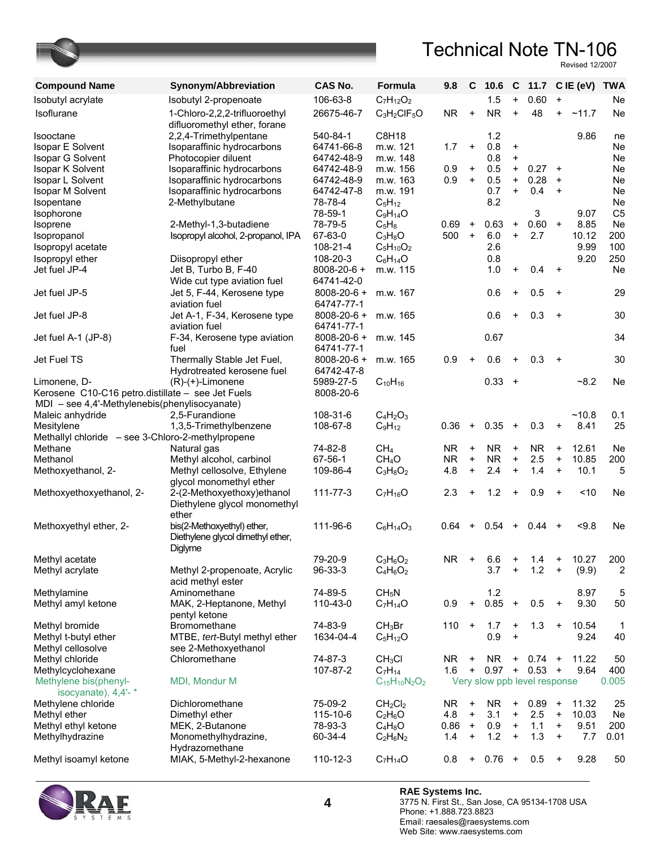Revised 12/2007

| <b>Compound Name</b>                                                                               | Synonym/Abbreviation                                          | <b>CAS No.</b>                  | Formula                         | 9.8       | C         | 10.6                         | $\mathbf{C}$ |           |           | 11.7 CIE (eV) TWA |                 |
|----------------------------------------------------------------------------------------------------|---------------------------------------------------------------|---------------------------------|---------------------------------|-----------|-----------|------------------------------|--------------|-----------|-----------|-------------------|-----------------|
| Isobutyl acrylate                                                                                  | Isobutyl 2-propenoate                                         | 106-63-8                        | $C_7H_{12}O_2$                  |           |           | 1.5                          | $+$          | 0.60      | $\ddot{}$ |                   | Ne              |
| Isoflurane                                                                                         | 1-Chloro-2,2,2-trifluoroethyl<br>difluoromethyl ether, forane | 26675-46-7                      | $C_3H_2CIF_5O$                  | NR.       | $\bf +$   | <b>NR</b>                    | $+$          | 48        | $+$       | ~11.7             | Ne              |
| Isooctane<br><b>Isopar E Solvent</b>                                                               | 2,2,4-Trimethylpentane<br>Isoparaffinic hydrocarbons          | 540-84-1<br>64741-66-8          | C8H18<br>m.w. 121               | 1.7       | $\ddot{}$ | 1.2<br>0.8                   | $\ddot{}$    |           |           | 9.86              | ne<br><b>Ne</b> |
| Isopar G Solvent                                                                                   | Photocopier diluent                                           | 64742-48-9                      | m.w. 148                        |           |           | 0.8                          | $\ddot{}$    |           |           |                   | Ne              |
| Isopar K Solvent                                                                                   | Isoparaffinic hydrocarbons                                    | 64742-48-9                      | m.w. 156                        | 0.9       | $\ddot{}$ | 0.5                          | $+$          | 0.27      | $\ddot{}$ |                   | Ne              |
| Isopar L Solvent                                                                                   | Isoparaffinic hydrocarbons                                    | 64742-48-9                      | m.w. 163                        | 0.9       | $\ddot{}$ | 0.5                          | $+$          | 0.28      | $\ddot{}$ |                   | Ne              |
| Isopar M Solvent                                                                                   | Isoparaffinic hydrocarbons                                    | 64742-47-8                      | m.w. 191                        |           |           | 0.7                          | $+$          | 0.4       | $\ddot{}$ |                   | Ne              |
| Isopentane                                                                                         | 2-Methylbutane                                                | 78-78-4                         | $C_5H_{12}$                     |           |           | 8.2                          |              |           |           |                   | Ne              |
| Isophorone                                                                                         |                                                               | 78-59-1                         | $C_9H_{14}O$                    |           |           |                              |              | 3         |           | 9.07              | C <sub>5</sub>  |
| Isoprene                                                                                           | 2-Methyl-1,3-butadiene                                        | 78-79-5                         | $C_5H_8$                        | 0.69      | $\ddot{}$ | 0.63                         | $\ddot{}$    | 0.60      | $\ddot{}$ | 8.85              | Ne              |
| Isopropanol                                                                                        | Isopropyl alcohol, 2-propanol, IPA                            | 67-63-0                         | $C_3H_8O$                       | 500       | $\ddot{}$ | 6.0                          | $+$          | 2.7       |           | 10.12             | 200             |
| Isopropyl acetate                                                                                  |                                                               | 108-21-4                        | $C_5H_{10}O_2$                  |           |           | 2.6                          |              |           |           | 9.99              | 100             |
| Isopropyl ether                                                                                    | Diisopropyl ether                                             | 108-20-3                        | $C_6H_{14}O$                    |           |           | 0.8                          |              |           |           | 9.20              | 250             |
| Jet fuel JP-4                                                                                      | Jet B, Turbo B, F-40                                          | 8008-20-6 +                     | m.w. 115                        |           |           | 1.0                          | $\ddot{}$    | 0.4       | $+$       |                   | Ne              |
|                                                                                                    | Wide cut type aviation fuel                                   | 64741-42-0                      |                                 |           |           |                              |              |           |           |                   |                 |
| Jet fuel JP-5                                                                                      | Jet 5, F-44, Kerosene type<br>aviation fuel                   | $8008 - 20 - 6 +$<br>64747-77-1 | m.w. 167                        |           |           | 0.6                          | $\ddot{}$    | 0.5       | $\ddot{}$ |                   | 29              |
| Jet fuel JP-8                                                                                      | Jet A-1, F-34, Kerosene type<br>aviation fuel                 | $8008 - 20 - 6 +$<br>64741-77-1 | m.w. 165                        |           |           | 0.6                          | $\ddot{}$    | 0.3       | $+$       |                   | 30              |
| Jet fuel A-1 (JP-8)                                                                                | F-34, Kerosene type aviation<br>fuel                          | $8008 - 20 - 6 +$<br>64741-77-1 | m.w. 145                        |           |           | 0.67                         |              |           |           |                   | 34              |
| Jet Fuel TS                                                                                        | Thermally Stable Jet Fuel,                                    | $8008 - 20 - 6 +$               | m.w. 165                        | 0.9       | $\ddot{}$ | 0.6                          | $\ddot{}$    | 0.3       | $+$       |                   | 30              |
|                                                                                                    | Hydrotreated kerosene fuel                                    | 64742-47-8                      |                                 |           |           |                              |              |           |           |                   |                 |
| Limonene, D-                                                                                       | $(R)-(+)$ -Limonene                                           | 5989-27-5                       | $C_{10}H_{16}$                  |           |           | 0.33                         | $+$          |           |           | $-8.2$            | Ne              |
| Kerosene C10-C16 petro.distillate - see Jet Fuels<br>MDI - see 4,4'-Methylenebis(phenylisocyanate) |                                                               | 8008-20-6                       |                                 |           |           |                              |              |           |           |                   |                 |
| Maleic anhydride                                                                                   | 2,5-Furandione                                                | 108-31-6                        | $C_4H_2O_3$                     |           |           |                              |              |           |           | ~10.8             | 0.1             |
| Mesitylene                                                                                         | 1,3,5-Trimethylbenzene                                        | 108-67-8                        | $C_9H_{12}$                     | 0.36      | $\ddot{}$ | 0.35                         | $+$          | 0.3       | $\ddot{}$ | 8.41              | 25              |
| Methallyl chloride - see 3-Chloro-2-methylpropene                                                  |                                                               |                                 |                                 |           |           |                              |              |           |           |                   |                 |
| Methane                                                                                            | Natural gas                                                   | 74-82-8                         | CH <sub>4</sub>                 | <b>NR</b> | $\ddot{}$ | <b>NR</b>                    | $\ddot{}$    | <b>NR</b> | $\ddot{}$ | 12.61             | Ne              |
| Methanol                                                                                           | Methyl alcohol, carbinol                                      | 67-56-1                         | CH <sub>4</sub> O               | <b>NR</b> | $\ddot{}$ | <b>NR</b>                    | $\ddot{}$    | 2.5       | $\ddot{}$ | 10.85             | 200             |
| Methoxyethanol, 2-                                                                                 | Methyl cellosolve, Ethylene                                   | 109-86-4                        | $C_3H_8O_2$                     | 4.8       | $\ddot{}$ | 2.4                          | $\ddot{}$    | 1.4       | $\ddot{}$ | 10.1              | 5               |
|                                                                                                    | glycol monomethyl ether                                       |                                 |                                 |           |           |                              |              |           |           |                   |                 |
| Methoxyethoxyethanol, 2-                                                                           | 2-(2-Methoxyethoxy)ethanol                                    | 111-77-3                        | $C_7H_{16}O$                    | 2.3       | $\ddot{}$ | 1.2                          | $\ddot{}$    | 0.9       | $\ddot{}$ | ~10               | Ne              |
|                                                                                                    | Diethylene glycol monomethyl<br>ether                         |                                 |                                 |           |           |                              |              |           |           |                   |                 |
| Methoxyethyl ether, 2-                                                                             | bis(2-Methoxyethyl) ether,                                    | 111-96-6                        | $C_6H_{14}O_3$                  | 0.64      | $\ddot{}$ | 0.54                         | $\ddot{}$    | 0.44      | $\ddot{}$ | < 9.8             | <b>Ne</b>       |
|                                                                                                    | Diethylene glycol dimethyl ether,<br>Diglyme                  |                                 |                                 |           |           |                              |              |           |           |                   |                 |
| Methyl acetate                                                                                     |                                                               | 79-20-9                         | $C_3H_6O_2$                     | <b>NR</b> | $\ddot{}$ | 6.6                          | +            | 1.4       | $\ddot{}$ | 10.27             | 200             |
| Methyl acrylate                                                                                    | Methyl 2-propenoate, Acrylic                                  | 96-33-3                         | $C_4H_6O_2$                     |           |           | 3.7                          | $\ddot{}$    | 1.2       | $\ddot{}$ | (9.9)             | 2               |
|                                                                                                    | acid methyl ester                                             |                                 |                                 |           |           |                              |              |           |           |                   |                 |
| Methylamine                                                                                        | Aminomethane                                                  | 74-89-5                         | CH <sub>5</sub> N               |           |           | 1.2                          |              |           |           | 8.97              | 5               |
| Methyl amyl ketone                                                                                 | MAK, 2-Heptanone, Methyl                                      | 110-43-0                        | $C_7H_{14}O$                    | 0.9       | $\ddot{}$ | 0.85                         | $+$          | 0.5       | $\ddot{}$ | 9.30              | 50              |
|                                                                                                    | pentyl ketone                                                 |                                 |                                 |           |           |                              |              |           |           |                   |                 |
| Methyl bromide                                                                                     | Bromomethane                                                  | 74-83-9                         | CH <sub>3</sub> Br              | 110       | $\ddot{}$ | 1.7                          | $\ddot{}$    | 1.3       | $\ddot{}$ | 10.54             | 1               |
| Methyl t-butyl ether                                                                               | MTBE, tert-Butyl methyl ether                                 | 1634-04-4                       | $C_5H_{12}O$                    |           |           | 0.9                          | $\ddot{}$    |           |           | 9.24              | 40              |
| Methyl cellosolve                                                                                  | see 2-Methoxyethanol                                          |                                 |                                 |           |           |                              |              |           |           |                   |                 |
| Methyl chloride                                                                                    | Chloromethane                                                 | 74-87-3                         | CH <sub>3</sub> Cl              | NR.       | $\ddot{}$ | NR.                          | $\ddot{}$    | 0.74      | $\ddot{}$ | 11.22             | 50              |
| Methylcyclohexane                                                                                  |                                                               | 107-87-2                        | $C_7H_{14}$                     | 1.6       | $\ddot{}$ | 0.97                         | $\ddot{}$    | 0.53      | $\ddot{}$ | 9.64              | 400             |
| Methylene bis(phenyl-<br>isocyanate), $4.4'$ - $*$                                                 | MDI, Mondur M                                                 |                                 | $C_{15}H_{10}N_2O_2$            |           |           | Very slow ppb level response |              |           |           |                   | 0.005           |
| Methylene chloride                                                                                 | Dichloromethane                                               | 75-09-2                         | CH <sub>2</sub> Cl <sub>2</sub> | NR.       | +         | <b>NR</b>                    | $\ddot{}$    | 0.89      | $\ddot{}$ | 11.32             | 25              |
| Methyl ether                                                                                       | Dimethyl ether                                                | 115-10-6                        | $C_2H_6O$                       | 4.8       | $\ddot{}$ | 3.1                          | $+$          | 2.5       | $\ddot{}$ | 10.03             | Ne              |
| Methyl ethyl ketone                                                                                | MEK, 2-Butanone                                               | 78-93-3                         | $C_4H_8O$                       | 0.86      | $\ddot{}$ | 0.9                          | $\ddot{}$    | 1.1       | $\ddot{}$ | 9.51              | 200             |
| Methylhydrazine                                                                                    | Monomethylhydrazine,                                          | 60-34-4                         | $C_2H_6N_2$                     | 1.4       | $\ddot{}$ | 1.2                          | $\ddot{}$    | 1.3       | $\ddot{}$ | 7.7               | 0.01            |
|                                                                                                    | Hydrazomethane                                                |                                 |                                 |           |           |                              |              |           |           |                   |                 |
| Methyl isoamyl ketone                                                                              | MIAK, 5-Methyl-2-hexanone                                     | 110-12-3                        | $C_7H_{14}O$                    | 0.8       | $\ddot{}$ | 0.76                         | $\ddot{}$    | 0.5       | $\ddot{}$ | 9.28              | 50              |



**RAE Systems Inc.**  3775 N. First St., San Jose, CA 95134-1708 USA Phone: +1.888.723.8823 Email: raesales@raesystems.com Web Site: www.raesystems.com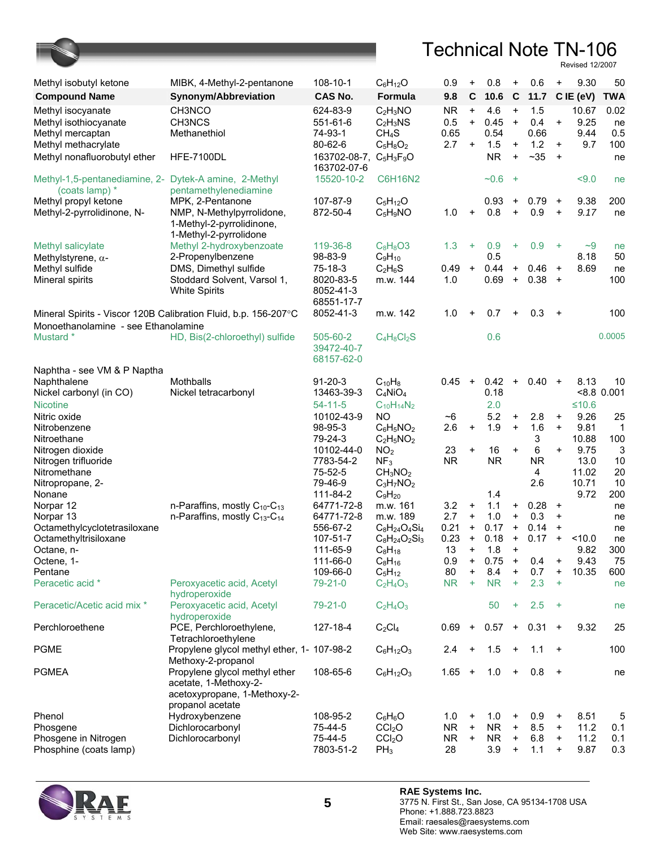

| Methyl isobutyl ketone                                          | MIBK, 4-Methyl-2-pentanone                           | 108-10-1                                                    | $C_6H_{12}O$                                       | 0.9                | +                      | 0.8         | +                      | 0.6            | $\ddot{}$              | 9.30          | 50            |
|-----------------------------------------------------------------|------------------------------------------------------|-------------------------------------------------------------|----------------------------------------------------|--------------------|------------------------|-------------|------------------------|----------------|------------------------|---------------|---------------|
|                                                                 | Synonym/Abbreviation                                 | <b>CAS No.</b>                                              | Formula                                            | 9.8                | $\mathbf C$            | 10.6        | $\mathbf c$            | 11.7           |                        | C IE (eV)     | <b>TWA</b>    |
| <b>Compound Name</b>                                            |                                                      |                                                             |                                                    |                    |                        |             |                        |                |                        |               |               |
| Methyl isocyanate<br>Methyl isothiocyanate                      | CH3NCO<br>CH3NCS                                     | 624-83-9<br>551-61-6                                        | $C_2H_3NO$<br>$C_2H_3NS$                           | <b>NR</b><br>0.5   | $\ddot{}$<br>$\ddot{}$ | 4.6<br>0.45 | $\ddot{}$<br>$\ddot{}$ | 1.5<br>0.4     | +                      | 10.67<br>9.25 | 0.02<br>ne    |
| Methyl mercaptan                                                | Methanethiol                                         | 74-93-1                                                     | CH <sub>4</sub> S                                  | 0.65               |                        | 0.54        |                        | 0.66           |                        | 9.44          | 0.5           |
| Methyl methacrylate                                             |                                                      | 80-62-6                                                     | $C_5H_8O_2$                                        | 2.7                | $\ddot{}$              | 1.5         | $\ddot{}$              | 1.2            | $\ddot{}$              | 9.7           | 100           |
| Methyl nonafluorobutyl ether                                    | <b>HFE-7100DL</b>                                    | 163702-08-7, C <sub>5</sub> H <sub>3</sub> F <sub>9</sub> O |                                                    |                    |                        | <b>NR</b>   | $\ddot{}$              | $~1 - 35$      | $\ddot{}$              |               | ne            |
|                                                                 |                                                      | 163702-07-6                                                 |                                                    |                    |                        |             |                        |                |                        |               |               |
| Methyl-1,5-pentanediamine, 2-                                   | Dytek-A amine, 2-Methyl                              | 15520-10-2                                                  | <b>C6H16N2</b>                                     |                    |                        | $-0.6$      | $+$                    |                |                        | 59.0          | ne            |
| (coats lamp) *                                                  | pentamethylenediamine                                |                                                             |                                                    |                    |                        |             |                        |                |                        |               |               |
| Methyl propyl ketone                                            | MPK, 2-Pentanone                                     | 107-87-9                                                    | $C_5H_{12}O$                                       |                    |                        | 0.93        | $\ddot{}$              | 0.79           | $+$                    | 9.38          | 200           |
| Methyl-2-pyrrolidinone, N-                                      | NMP, N-Methylpyrrolidone,                            | 872-50-4                                                    | $C_5H_9NO$                                         | 1.0                | $\ddot{}$              | 0.8         | $\ddot{}$              | 0.9            | $\ddot{}$              | 9.17          | ne            |
|                                                                 | 1-Methyl-2-pyrrolidinone,<br>1-Methyl-2-pyrrolidone  |                                                             |                                                    |                    |                        |             |                        |                |                        |               |               |
| Methyl salicylate                                               | Methyl 2-hydroxybenzoate                             | 119-36-8                                                    | $C_8H_8O3$                                         | 1.3                | $\ddot{}$              | 0.9         | ÷                      | 0.9            | $+$                    | $-9$          | ne            |
| Methylstyrene, $\alpha$ -                                       | 2-Propenylbenzene                                    | 98-83-9                                                     | $C_9H_{10}$                                        |                    |                        | 0.5         |                        |                |                        | 8.18          | 50            |
| Methyl sulfide                                                  | DMS, Dimethyl sulfide                                | 75-18-3                                                     | $C_2H_6S$                                          | 0.49               | $\ddot{}$              | 0.44        | $\ddot{}$              | 0.46           | $\ddot{}$              | 8.69          | ne            |
| Mineral spirits                                                 | Stoddard Solvent, Varsol 1,                          | 8020-83-5                                                   | m.w. 144                                           | 1.0                |                        | 0.69        | $\ddot{}$              | 0.38           | $+$                    |               | 100           |
|                                                                 | <b>White Spirits</b>                                 | 8052-41-3                                                   |                                                    |                    |                        |             |                        |                |                        |               |               |
|                                                                 |                                                      | 68551-17-7                                                  |                                                    |                    |                        |             |                        |                |                        |               |               |
| Mineral Spirits - Viscor 120B Calibration Fluid, b.p. 156-207°C |                                                      | 8052-41-3                                                   | m.w. 142                                           | 1.0                | $\ddot{}$              | 0.7         | +                      | 0.3            | $\ddot{}$              |               | 100           |
| Monoethanolamine - see Ethanolamine                             |                                                      |                                                             |                                                    |                    |                        |             |                        |                |                        |               |               |
| Mustard *                                                       | HD, Bis(2-chloroethyl) sulfide                       | 505-60-2                                                    | $C_4H_8Cl_2S$                                      |                    |                        | 0.6         |                        |                |                        |               | 0.0005        |
|                                                                 |                                                      | 39472-40-7<br>68157-62-0                                    |                                                    |                    |                        |             |                        |                |                        |               |               |
| Naphtha - see VM & P Naptha                                     |                                                      |                                                             |                                                    |                    |                        |             |                        |                |                        |               |               |
| Naphthalene                                                     | Mothballs                                            | $91 - 20 - 3$                                               | $C_{10}H_8$                                        | 0.45               | $\ddot{}$              | 0.42        | $\ddot{}$              | $0.40 +$       |                        | 8.13          | 10            |
| Nickel carbonyl (in CO)                                         | Nickel tetracarbonyl                                 | 13463-39-3                                                  | $C_4NiO_4$                                         |                    |                        | 0.18        |                        |                |                        |               | $< 8.8$ 0.001 |
| <b>Nicotine</b>                                                 |                                                      | $54 - 11 - 5$                                               | $C_{10}H_{14}N_2$                                  |                    |                        | 2.0         |                        |                |                        | $≤10.6$       |               |
| Nitric oxide                                                    |                                                      | 10102-43-9                                                  | NO                                                 | $~1$ <sup>-6</sup> |                        | 5.2         | $\ddot{}$              | 2.8            | $\ddot{}$              | 9.26          | 25            |
| Nitrobenzene                                                    |                                                      | 98-95-3                                                     | $C_6H_5NO_2$                                       | 2.6                | $\pmb{+}$              | 1.9         | $\ddot{}$              | 1.6            | $\ddot{}$              | 9.81          | 1             |
| Nitroethane                                                     |                                                      | 79-24-3                                                     | $C_2H_5NO_2$                                       |                    |                        |             |                        | 3              |                        | 10.88         | 100           |
| Nitrogen dioxide                                                |                                                      | 10102-44-0                                                  | NO <sub>2</sub>                                    | 23                 | $\pmb{+}$              | 16          | $\ddot{}$              | 6              | $\ddot{}$              | 9.75          | 3             |
| Nitrogen trifluoride                                            |                                                      | 7783-54-2<br>75-52-5                                        | NF <sub>3</sub><br>CH <sub>3</sub> NO <sub>2</sub> | <b>NR</b>          |                        | <b>NR</b>   |                        | <b>NR</b><br>4 |                        | 13.0<br>11.02 | 10<br>20      |
| Nitromethane<br>Nitropropane, 2-                                |                                                      | 79-46-9                                                     | $C_3H_7NO_2$                                       |                    |                        |             |                        | 2.6            |                        | 10.71         | 10            |
| Nonane                                                          |                                                      | 111-84-2                                                    | $C_9H_{20}$                                        |                    |                        | 1.4         |                        |                |                        | 9.72          | 200           |
| Norpar 12                                                       | n-Paraffins, mostly $C_{10}$ - $C_{13}$              | 64771-72-8                                                  | m.w. 161                                           | 3.2                | $\ddot{}$              | 1.1         | $\ddot{}$              | 0.28           | $\ddot{}$              |               | ne            |
| Norpar 13                                                       | n-Paraffins, mostly C <sub>13</sub> -C <sub>14</sub> | 64771-72-8                                                  | m.w. 189                                           | 2.7                | $\ddot{}$              | 1.0         | $\ddot{}$              | 0.3            | $\ddot{}$              |               | ne            |
| Octamethylcyclotetrasiloxane                                    |                                                      | 556-67-2                                                    | $C_8H_{24}O_4Si_4$                                 | 0.21               | +                      | 0.17        | $\ddot{}$              | 0.14           | $\ddot{}$              |               | ne            |
| Octamethyltrisiloxane                                           |                                                      | 107-51-7                                                    | $C_8H_{24}O_2Si_3$                                 | 0.23               | $\ddot{}$              | 0.18        | $\ddot{}$              | 0.17           | $\ddot{}$              | 10.0          | ne            |
| Octane, n-                                                      |                                                      | 111-65-9                                                    | $C_8H_{18}$                                        | 13                 | $+$                    | 1.8         | $\ddot{}$              |                |                        | 9.82          | 300           |
| Octene, 1-<br>Pentane                                           |                                                      | 111-66-0<br>109-66-0                                        | $C_8H_{16}$<br>$C_5H_{12}$                         | 0.9<br>80          | $\ddot{}$<br>+         | 0.75<br>8.4 | $+$<br>$\ddot{}$       | 0.4<br>0.7     | $\ddot{}$<br>$\ddot{}$ | 9.43<br>10.35 | 75<br>600     |
| Peracetic acid *                                                | Peroxyacetic acid, Acetyl                            | 79-21-0                                                     | $C_2H_4O_3$                                        | <b>NR</b>          | ÷                      | <b>NR</b>   | $\ddot{}$              | 2.3            | $\ddot{}$              |               | ne            |
|                                                                 | hydroperoxide                                        |                                                             |                                                    |                    |                        |             |                        |                |                        |               |               |
| Peracetic/Acetic acid mix *                                     | Peroxyacetic acid, Acetyl                            | 79-21-0                                                     | $C_2H_4O_3$                                        |                    |                        | 50          | ÷                      | 2.5            | $+$                    |               | ne            |
|                                                                 | hydroperoxide                                        |                                                             |                                                    |                    |                        |             |                        |                |                        |               |               |
| Perchloroethene                                                 | PCE, Perchloroethylene,                              | 127-18-4                                                    | $C_2Cl_4$                                          | 0.69               | $+$                    | 0.57        | $+$                    | $0.31 +$       |                        | 9.32          | 25            |
|                                                                 | Tetrachloroethylene                                  |                                                             |                                                    |                    |                        |             |                        |                |                        |               |               |
| <b>PGME</b>                                                     | Propylene glycol methyl ether, 1- 107-98-2           |                                                             | $C_6H_{12}O_3$                                     | 2.4                | $\ddot{}$              | 1.5         | $\ddot{}$              | 1.1            | $+$                    |               | 100           |
| <b>PGMEA</b>                                                    | Methoxy-2-propanol<br>Propylene glycol methyl ether  | 108-65-6                                                    | $C_6H_{12}O_3$                                     | $1.65 +$           |                        | 1.0         | $+$                    | 0.8            | $+$                    |               |               |
|                                                                 | acetate, 1-Methoxy-2-                                |                                                             |                                                    |                    |                        |             |                        |                |                        |               | ne            |
|                                                                 | acetoxypropane, 1-Methoxy-2-                         |                                                             |                                                    |                    |                        |             |                        |                |                        |               |               |
|                                                                 | propanol acetate                                     |                                                             |                                                    |                    |                        |             |                        |                |                        |               |               |
| Phenol                                                          | Hydroxybenzene                                       | 108-95-2                                                    | $C_6H_6O$                                          | 1.0                | $\ddot{}$              | 1.0         | $\ddot{}$              | 0.9            | $\ddot{}$              | 8.51          | 5             |
| Phosgene                                                        | Dichlorocarbonyl                                     | 75-44-5                                                     | CCI <sub>2</sub> O                                 | <b>NR</b>          | $\ddot{}$              | <b>NR</b>   | $\ddot{}$              | 8.5            | $\ddot{}$              | 11.2          | 0.1           |
| Phosgene in Nitrogen                                            | Dichlorocarbonyl                                     | 75-44-5                                                     | CCI <sub>2</sub> O                                 | NR.                | $\ddot{}$              | <b>NR</b>   | $\ddot{}$              | 6.8            | $\ddot{}$              | 11.2          | 0.1           |
| Phosphine (coats lamp)                                          |                                                      | 7803-51-2                                                   | $PH_3$                                             | 28                 |                        | 3.9         | $\ddot{}$              | 1.1            | $\ddot{}$              | 9.87          | 0.3           |

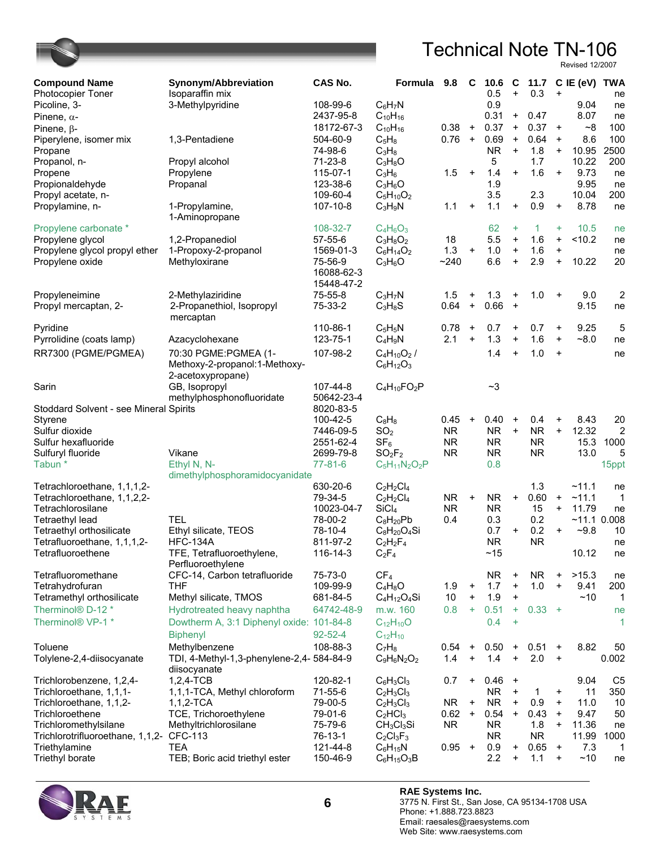| <b>Compound Name</b>                     | Synonym/Abbreviation                      | CAS No.       | Formula                            | 9.8       | C                 | 10.6      | C                                |              |           | 11.7 C IE (eV) | TWA            |
|------------------------------------------|-------------------------------------------|---------------|------------------------------------|-----------|-------------------|-----------|----------------------------------|--------------|-----------|----------------|----------------|
| <b>Photocopier Toner</b>                 | Isoparaffin mix                           |               |                                    |           |                   | 0.5       | $\ddot{}$                        | 0.3          | $\ddot{}$ |                | ne             |
| Picoline, 3-                             | 3-Methylpyridine                          | 108-99-6      | $C_6H_7N$                          |           |                   | 0.9       |                                  |              |           | 9.04           | ne             |
| Pinene, $\alpha$ -                       |                                           | 2437-95-8     | $C_{10}H_{16}$                     |           |                   | 0.31      | $+$                              | 0.47         |           | 8.07           | ne             |
| Pinene, $\beta$ -                        |                                           | 18172-67-3    | $C_{10}H_{16}$                     | 0.38      | $+$               | 0.37      | $\begin{array}{c} + \end{array}$ | 0.37         | $+$       | ~8             | 100            |
| Piperylene, isomer mix                   | 1,3-Pentadiene                            | 504-60-9      | $C_5H_8$                           | 0.76      | $+$               | 0.69      | $\ddot{}$                        | 0.64         | $\ddot{}$ | 8.6            | 100            |
| Propane                                  |                                           | 74-98-6       | $C_3H_8$                           |           |                   | <b>NR</b> | $\ddot{}$                        | 1.8          | $\ddot{}$ | 10.95          | 2500           |
| Propanol, n-                             | Propyl alcohol                            | $71-23-8$     | $C_3H_8O$                          |           |                   | 5         |                                  | 1.7          |           | 10.22          | 200            |
| Propene                                  | Propylene                                 | 115-07-1      | $C_3H_6$                           | 1.5       | $\ddot{}$         | 1.4       | $\ddot{}$                        | 1.6          | $\ddot{}$ | 9.73           | ne             |
| Propionaldehyde                          | Propanal                                  | 123-38-6      | $C_3H_6O$                          |           |                   | 1.9       |                                  |              |           | 9.95           | ne             |
| Propyl acetate, n-                       |                                           | 109-60-4      | $C_5H_{10}O_2$                     |           |                   | 3.5       |                                  | 2.3          |           | 10.04          | 200            |
| Propylamine, n-                          | 1-Propylamine,                            | 107-10-8      | $C_3H_9N$                          | 1.1       | $\ddot{}$         | 1.1       | $+$                              | 0.9          | $\ddot{}$ | 8.78           | ne             |
|                                          | 1-Aminopropane                            |               |                                    |           |                   |           |                                  |              |           |                |                |
| Propylene carbonate *                    |                                           | 108-32-7      | $C_4H_6O_3$                        |           |                   | 62        | $\ddot{}$                        | $\mathbf{1}$ | ÷         | 10.5           | ne             |
| Propylene glycol                         | 1,2-Propanediol                           | 57-55-6       | $C_3H_8O_2$                        | 18        |                   | 5.5       | $\ddot{}$                        | 1.6          | $\ddot{}$ | < 10.2         | ne             |
| Propylene glycol propyl ether            | 1-Propoxy-2-propanol                      | 1569-01-3     | $C_6H_{14}O_2$                     | 1.3       | $\qquad \qquad +$ | 1.0       | $\ddot{}$                        | 1.6          | $\ddot{}$ |                | ne             |
| Propylene oxide                          | Methyloxirane                             | 75-56-9       | $C_3H_6O$                          | ~240      |                   | 6.6       | $\begin{array}{c} + \end{array}$ | 2.9          | $\ddot{}$ | 10.22          | 20             |
|                                          |                                           | 16088-62-3    |                                    |           |                   |           |                                  |              |           |                |                |
|                                          |                                           | 15448-47-2    |                                    |           |                   |           |                                  |              |           |                |                |
| Propyleneimine                           | 2-Methylaziridine                         | 75-55-8       | $C_3H_7N$                          | 1.5       | +                 | 1.3       | $\ddot{}$                        | 1.0          | $\ddot{}$ | 9.0            | 2              |
| Propyl mercaptan, 2-                     | 2-Propanethiol, Isopropyl                 | 75-33-2       | $C_3H_8S$                          | 0.64      | $\ddot{}$         | 0.66      | $\ddot{}$                        |              |           | 9.15           | ne             |
|                                          | mercaptan                                 |               |                                    |           |                   |           |                                  |              |           |                |                |
| Pyridine                                 |                                           | 110-86-1      | $C_5H_5N$                          | 0.78      | $\ddot{}$         | 0.7       | $\ddot{}$                        | 0.7          | $\ddot{}$ | 9.25           | 5              |
| Pyrrolidine (coats lamp)                 | Azacyclohexane                            | 123-75-1      | $C_4H_9N$                          | 2.1       | $\ddot{}$         | 1.3       | $\ddot{}$                        | 1.6          | $\ddot{}$ | $~10^{-8}$     | ne             |
|                                          |                                           |               |                                    |           |                   |           |                                  |              |           |                |                |
| RR7300 (PGME/PGMEA)                      | 70:30 PGME:PGMEA (1-                      | 107-98-2      | $C_4H_{10}O_2$ /                   |           |                   | 1.4       | $\ddot{}$                        | 1.0          | $\ddot{}$ |                | ne             |
|                                          | Methoxy-2-propanol:1-Methoxy-             |               | $C_6H_{12}O_3$                     |           |                   |           |                                  |              |           |                |                |
|                                          | 2-acetoxypropane)                         |               |                                    |           |                   |           |                                  |              |           |                |                |
| Sarin                                    | GB, Isopropyl                             | 107-44-8      | $C_4H_{10}FO_2P$                   |           |                   | ~1        |                                  |              |           |                |                |
|                                          | methylphosphonofluoridate                 | 50642-23-4    |                                    |           |                   |           |                                  |              |           |                |                |
| Stoddard Solvent - see Mineral Spirits   |                                           | 8020-83-5     |                                    |           |                   |           |                                  |              |           |                |                |
| Styrene                                  |                                           | 100-42-5      | $C_8H_8$                           | 0.45      | $\ddot{}$         | 0.40      | $\ddot{}$                        | 0.4          | $\ddot{}$ | 8.43           | 20             |
| Sulfur dioxide                           |                                           | 7446-09-5     | SO <sub>2</sub>                    | <b>NR</b> |                   | <b>NR</b> | $\ddot{}$                        | <b>NR</b>    | $\ddot{}$ | 12.32          | 2              |
| Sulfur hexafluoride                      |                                           | 2551-62-4     | SF <sub>6</sub>                    | <b>NR</b> |                   | <b>NR</b> |                                  | <b>NR</b>    |           | 15.3           | 1000           |
| Sulfuryl fluoride                        | Vikane                                    | 2699-79-8     | SO <sub>2</sub> F <sub>2</sub>     | <b>NR</b> |                   | <b>NR</b> |                                  | <b>NR</b>    |           | 13.0           | 5              |
| Tabun <sup>*</sup>                       | Ethyl N, N-                               | $77 - 81 - 6$ | $C_5H_{11}N_2O_2P$                 |           |                   | 0.8       |                                  |              |           |                | 15ppt          |
|                                          | dimethylphosphoramidocyanidate            |               |                                    |           |                   |           |                                  |              |           |                |                |
| Tetrachloroethane, 1,1,1,2-              |                                           | 630-20-6      | $C_2H_2Cl_4$                       |           |                   |           |                                  | 1.3          |           | ~11.1          | ne             |
| Tetrachloroethane, 1,1,2,2-              |                                           | 79-34-5       | $C_2H_2Cl_4$                       | <b>NR</b> | $\ddot{}$         | <b>NR</b> | $\ddot{}$                        | 0.60         | $\ddot{}$ | ~11.1          | $\mathbf 1$    |
| Tetrachlorosilane                        |                                           | 10023-04-7    | SiCl <sub>4</sub>                  | <b>NR</b> |                   | <b>NR</b> |                                  | 15           | $\ddot{}$ | 11.79          | ne             |
| <b>Tetraethyl lead</b>                   | <b>TEL</b>                                | 78-00-2       | $C_8H_{20}Pb$                      | 0.4       |                   | 0.3       |                                  | 0.2          |           | $~11.1$ 0.008  |                |
| Tetraethyl orthosilicate                 | Ethyl silicate, TEOS                      | 78-10-4       | $C_8H_{20}O_4Si$                   |           |                   | 0.7       | $\ddot{}$                        | 0.2          | $\ddot{}$ | $-9.8$         | 10             |
| Tetrafluoroethane, 1,1,1,2-              | <b>HFC-134A</b>                           | 811-97-2      | $C_2H_2F_4$                        |           |                   | <b>NR</b> |                                  | <b>NR</b>    |           |                | ne             |
| Tetrafluoroethene                        | TFE, Tetrafluoroethylene,                 | 116-14-3      | $C_2F_4$                           |           |                   | $~15$     |                                  |              |           | 10.12          | ne             |
|                                          | Perfluoroethylene                         |               |                                    |           |                   |           |                                  |              |           |                |                |
| Tetrafluoromethane                       | CFC-14, Carbon tetrafluoride              | 75-73-0       | CF <sub>4</sub>                    |           |                   | <b>NR</b> | $\ddot{}$                        | <b>NR</b>    | +         | >15.3          | ne             |
| Tetrahydrofuran                          | THF                                       | 109-99-9      | $C_4H_8O$                          | 1.9       | $\ddot{}$         | 1.7       | $\ddot{}$                        | 1.0          | $\ddot{}$ | 9.41           | 200            |
| Tetramethyl orthosilicate                | Methyl silicate, TMOS                     | 681-84-5      | $C_4H_{12}O_4Si$                   | 10        | $\ddot{}$         | 1.9       | $\ddot{}$                        |              |           | ~10            | 1              |
| Therminol® D-12 *                        | Hydrotreated heavy naphtha                | 64742-48-9    | m.w. 160                           | 0.8       | $\ddot{}$         | 0.51      | $\ddot{}$                        | $0.33 +$     |           |                | ne             |
| Therminol® VP-1 *                        | Dowtherm A, 3:1 Diphenyl oxide: 101-84-8  |               | $C_{12}H_{10}O$                    |           |                   | 0.4       | $+$                              |              |           |                | 1              |
|                                          |                                           |               |                                    |           |                   |           |                                  |              |           |                |                |
|                                          | <b>Biphenyl</b>                           | $92 - 52 - 4$ | $C_{12}H_{10}$                     |           |                   |           |                                  |              |           |                |                |
| Toluene                                  | Methylbenzene                             | 108-88-3      | $C_7H_8$                           | 0.54      | $\ddot{}$         | 0.50      | $\ddot{}$                        | 0.51         | $\ddot{}$ | 8.82           | 50             |
| Tolylene-2,4-diisocyanate                | TDI, 4-Methyl-1,3-phenylene-2,4- 584-84-9 |               | $C_9H_6N_2O_2$                     | 1.4       | $\ddot{}$         | 1.4       | $\ddot{}$                        | 2.0          | $\ddot{}$ |                | 0.002          |
|                                          | diisocyanate                              |               |                                    |           |                   |           |                                  |              |           |                |                |
| Trichlorobenzene, 1,2,4-                 | $1,2,4$ -TCB                              | 120-82-1      | $C_6H_3Cl_3$                       | 0.7       | $\ddot{}$         | 0.46      | $\ddot{}$                        |              |           | 9.04           | C <sub>5</sub> |
| Trichloroethane, 1,1,1-                  | 1,1,1-TCA, Methyl chloroform              | 71-55-6       | $C_2H_3Cl_3$                       |           |                   | NR.       | $\ddot{}$                        | 1            | $\ddot{}$ | 11             | 350            |
| Trichloroethane, 1,1,2-                  | $1,1,2-TCA$                               | 79-00-5       | $C_2H_3Cl_3$                       | <b>NR</b> | $\ddot{}$         | <b>NR</b> | $\ddot{}$                        | 0.9          | $\ddot{}$ | 11.0           | 10             |
| Trichloroethene                          | TCE, Trichoroethylene                     | 79-01-6       | $C_2$ HCl <sub>3</sub>             | 0.62      | $\ddot{}$         | 0.54      | $\ddot{}$                        | 0.43         | $\ddot{}$ | 9.47           | 50             |
| Trichloromethylsilane                    | Methyltrichlorosilane                     | 75-79-6       | CH <sub>3</sub> Cl <sub>3</sub> Si | <b>NR</b> |                   | <b>NR</b> |                                  | 1.8          | $\ddot{}$ | 11.36          | ne             |
| Trichlorotrifluoroethane, 1,1,2- CFC-113 |                                           | 76-13-1       | $C_2Cl_3F_3$                       |           |                   | <b>NR</b> |                                  | <b>NR</b>    |           | 11.99          | 1000           |
| Triethylamine                            | <b>TEA</b>                                | 121-44-8      | $C_6H_{15}N$                       | 0.95      | $\ddot{}$         | 0.9       | $+$                              | 0.65         | $+$       | 7.3            | 1              |
| Triethyl borate                          | TEB; Boric acid triethyl ester            | 150-46-9      | $C_6H_{15}O_3B$                    |           |                   | 2.2       | $\ddot{}$                        | 1.1          | $\ddot{}$ | ~10            | ne             |
|                                          |                                           |               |                                    |           |                   |           |                                  |              |           |                |                |